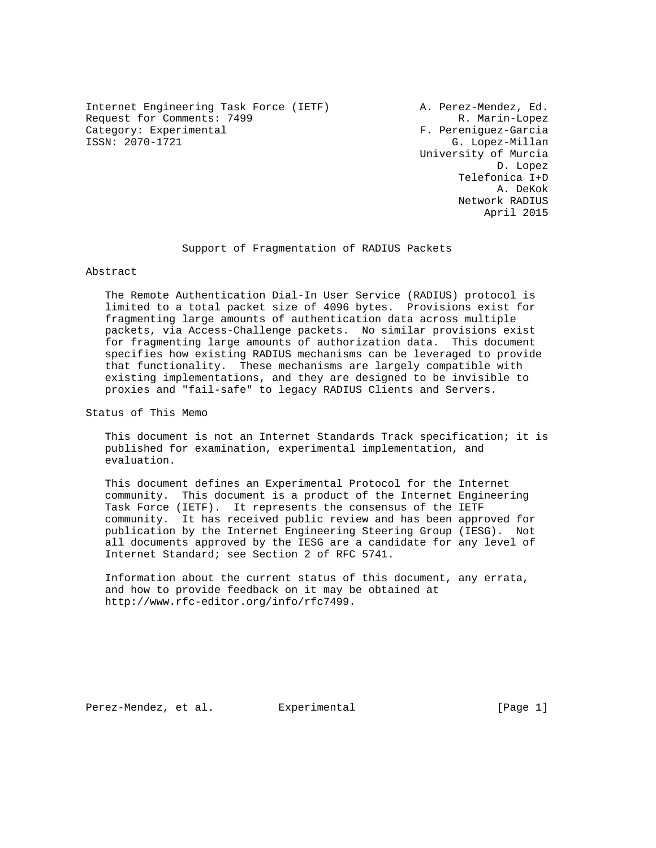Internet Engineering Task Force (IETF) A. Perez-Mendez, Ed. Request for Comments: 7499 R. Marin-Lopez Category: Experimental F. Pereniguez-Garcia<br>
ISSN: 2070-1721 G. Lopez-Millan

G. Lopez-Millan University of Murcia D. Lopez Telefonica I+D A. DeKok Network RADIUS April 2015

Support of Fragmentation of RADIUS Packets

## Abstract

 The Remote Authentication Dial-In User Service (RADIUS) protocol is limited to a total packet size of 4096 bytes. Provisions exist for fragmenting large amounts of authentication data across multiple packets, via Access-Challenge packets. No similar provisions exist for fragmenting large amounts of authorization data. This document specifies how existing RADIUS mechanisms can be leveraged to provide that functionality. These mechanisms are largely compatible with existing implementations, and they are designed to be invisible to proxies and "fail-safe" to legacy RADIUS Clients and Servers.

Status of This Memo

 This document is not an Internet Standards Track specification; it is published for examination, experimental implementation, and evaluation.

 This document defines an Experimental Protocol for the Internet community. This document is a product of the Internet Engineering Task Force (IETF). It represents the consensus of the IETF community. It has received public review and has been approved for publication by the Internet Engineering Steering Group (IESG). Not all documents approved by the IESG are a candidate for any level of Internet Standard; see Section 2 of RFC 5741.

 Information about the current status of this document, any errata, and how to provide feedback on it may be obtained at http://www.rfc-editor.org/info/rfc7499.

Perez-Mendez, et al. Experimental [Page 1]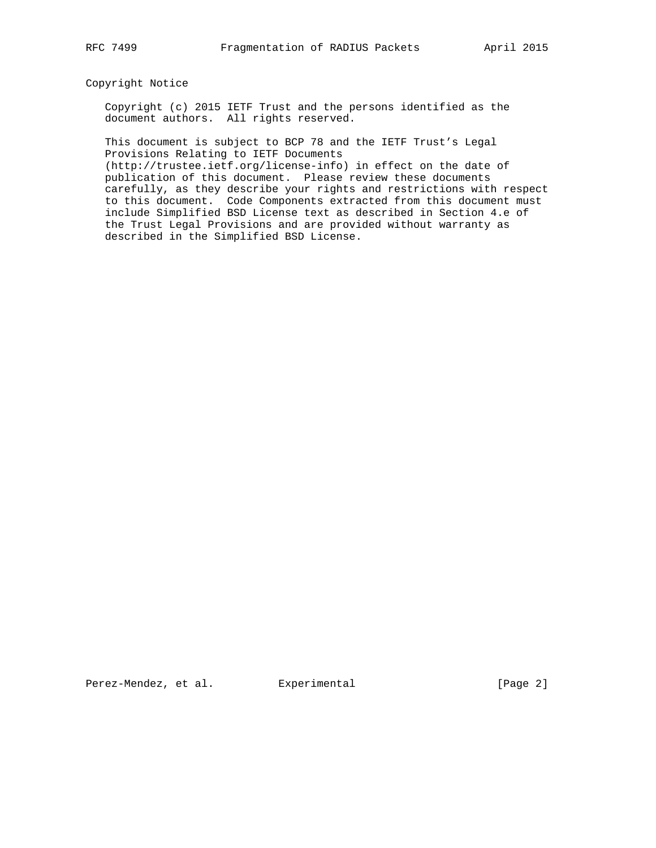## Copyright Notice

 Copyright (c) 2015 IETF Trust and the persons identified as the document authors. All rights reserved.

 This document is subject to BCP 78 and the IETF Trust's Legal Provisions Relating to IETF Documents

 (http://trustee.ietf.org/license-info) in effect on the date of publication of this document. Please review these documents carefully, as they describe your rights and restrictions with respect to this document. Code Components extracted from this document must include Simplified BSD License text as described in Section 4.e of the Trust Legal Provisions and are provided without warranty as described in the Simplified BSD License.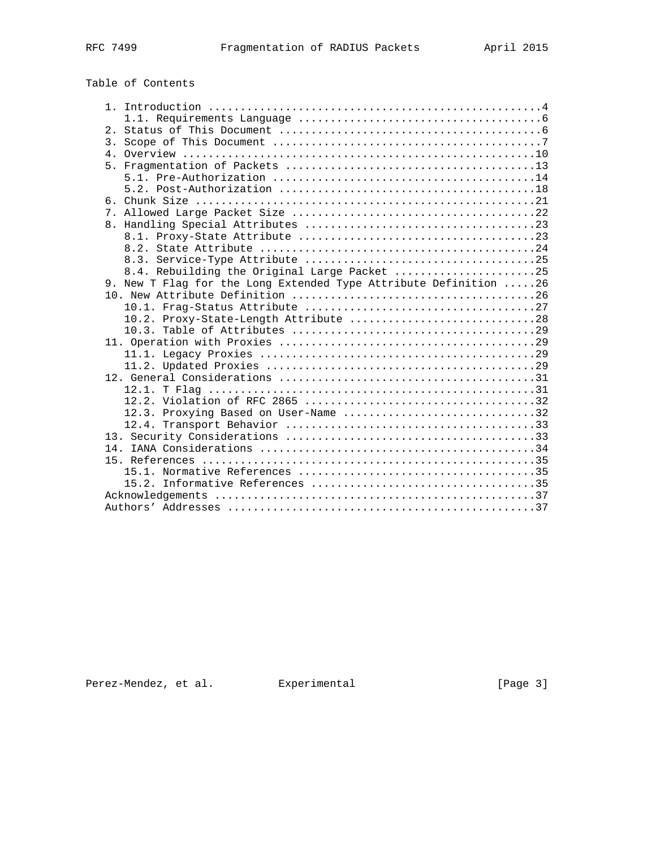# Table of Contents

|  | 8.4. Rebuilding the Original Large Packet 25                      |
|--|-------------------------------------------------------------------|
|  | 9. New T Flag for the Long Extended Type Attribute Definition  26 |
|  |                                                                   |
|  |                                                                   |
|  | 10.2. Proxy-State-Length Attribute 28                             |
|  |                                                                   |
|  |                                                                   |
|  |                                                                   |
|  |                                                                   |
|  |                                                                   |
|  |                                                                   |
|  |                                                                   |
|  | 12.3. Proxying Based on User-Name 32                              |
|  |                                                                   |
|  |                                                                   |
|  |                                                                   |
|  |                                                                   |
|  |                                                                   |
|  |                                                                   |
|  |                                                                   |
|  |                                                                   |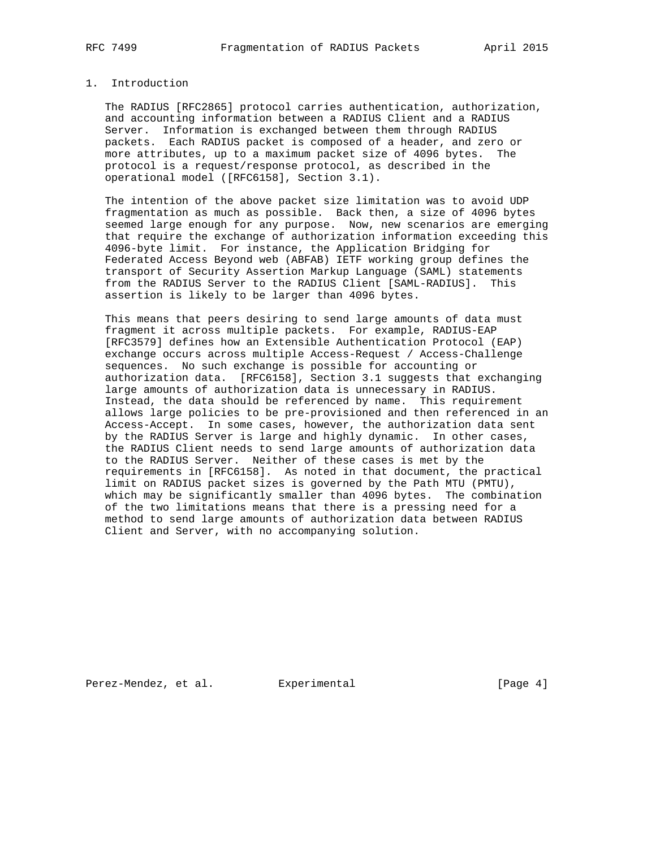## 1. Introduction

 The RADIUS [RFC2865] protocol carries authentication, authorization, and accounting information between a RADIUS Client and a RADIUS Server. Information is exchanged between them through RADIUS packets. Each RADIUS packet is composed of a header, and zero or more attributes, up to a maximum packet size of 4096 bytes. The protocol is a request/response protocol, as described in the operational model ([RFC6158], Section 3.1).

 The intention of the above packet size limitation was to avoid UDP fragmentation as much as possible. Back then, a size of 4096 bytes seemed large enough for any purpose. Now, new scenarios are emerging that require the exchange of authorization information exceeding this 4096-byte limit. For instance, the Application Bridging for Federated Access Beyond web (ABFAB) IETF working group defines the transport of Security Assertion Markup Language (SAML) statements from the RADIUS Server to the RADIUS Client [SAML-RADIUS]. This assertion is likely to be larger than 4096 bytes.

 This means that peers desiring to send large amounts of data must fragment it across multiple packets. For example, RADIUS-EAP [RFC3579] defines how an Extensible Authentication Protocol (EAP) exchange occurs across multiple Access-Request / Access-Challenge sequences. No such exchange is possible for accounting or authorization data. [RFC6158], Section 3.1 suggests that exchanging large amounts of authorization data is unnecessary in RADIUS. Instead, the data should be referenced by name. This requirement allows large policies to be pre-provisioned and then referenced in an Access-Accept. In some cases, however, the authorization data sent by the RADIUS Server is large and highly dynamic. In other cases, the RADIUS Client needs to send large amounts of authorization data to the RADIUS Server. Neither of these cases is met by the requirements in [RFC6158]. As noted in that document, the practical limit on RADIUS packet sizes is governed by the Path MTU (PMTU), which may be significantly smaller than 4096 bytes. The combination of the two limitations means that there is a pressing need for a method to send large amounts of authorization data between RADIUS Client and Server, with no accompanying solution.

Perez-Mendez, et al. Experimental [Page 4]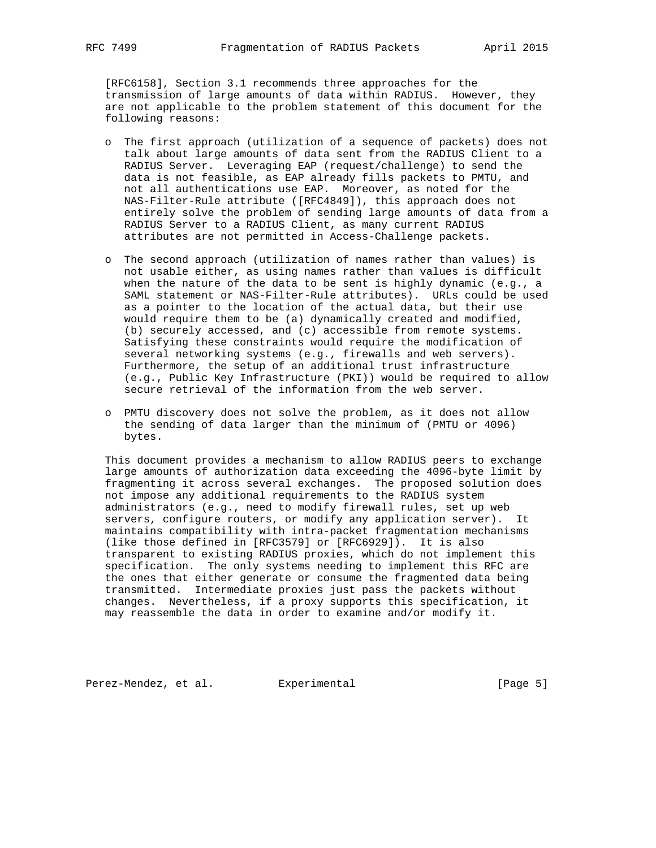[RFC6158], Section 3.1 recommends three approaches for the transmission of large amounts of data within RADIUS. However, they are not applicable to the problem statement of this document for the following reasons:

- o The first approach (utilization of a sequence of packets) does not talk about large amounts of data sent from the RADIUS Client to a RADIUS Server. Leveraging EAP (request/challenge) to send the data is not feasible, as EAP already fills packets to PMTU, and not all authentications use EAP. Moreover, as noted for the NAS-Filter-Rule attribute ([RFC4849]), this approach does not entirely solve the problem of sending large amounts of data from a RADIUS Server to a RADIUS Client, as many current RADIUS attributes are not permitted in Access-Challenge packets.
- o The second approach (utilization of names rather than values) is not usable either, as using names rather than values is difficult when the nature of the data to be sent is highly dynamic (e.g., a SAML statement or NAS-Filter-Rule attributes). URLs could be used as a pointer to the location of the actual data, but their use would require them to be (a) dynamically created and modified, (b) securely accessed, and (c) accessible from remote systems. Satisfying these constraints would require the modification of several networking systems (e.g., firewalls and web servers). Furthermore, the setup of an additional trust infrastructure (e.g., Public Key Infrastructure (PKI)) would be required to allow secure retrieval of the information from the web server.
- o PMTU discovery does not solve the problem, as it does not allow the sending of data larger than the minimum of (PMTU or 4096) bytes.

 This document provides a mechanism to allow RADIUS peers to exchange large amounts of authorization data exceeding the 4096-byte limit by fragmenting it across several exchanges. The proposed solution does not impose any additional requirements to the RADIUS system administrators (e.g., need to modify firewall rules, set up web servers, configure routers, or modify any application server). It maintains compatibility with intra-packet fragmentation mechanisms (like those defined in [RFC3579] or [RFC6929]). It is also transparent to existing RADIUS proxies, which do not implement this specification. The only systems needing to implement this RFC are the ones that either generate or consume the fragmented data being transmitted. Intermediate proxies just pass the packets without changes. Nevertheless, if a proxy supports this specification, it may reassemble the data in order to examine and/or modify it.

Perez-Mendez, et al. Experimental [Page 5]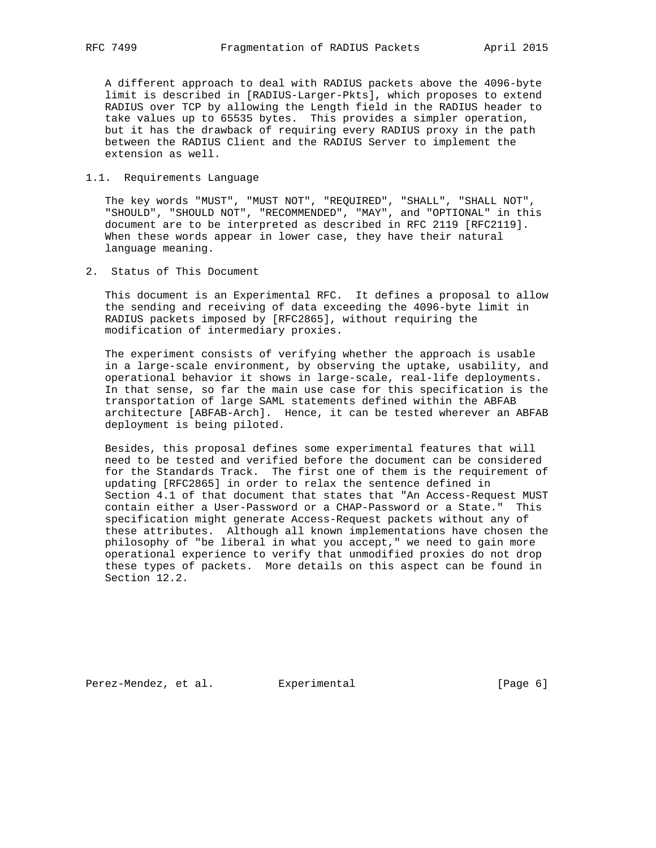A different approach to deal with RADIUS packets above the 4096-byte limit is described in [RADIUS-Larger-Pkts], which proposes to extend RADIUS over TCP by allowing the Length field in the RADIUS header to take values up to 65535 bytes. This provides a simpler operation, but it has the drawback of requiring every RADIUS proxy in the path between the RADIUS Client and the RADIUS Server to implement the extension as well.

## 1.1. Requirements Language

 The key words "MUST", "MUST NOT", "REQUIRED", "SHALL", "SHALL NOT", "SHOULD", "SHOULD NOT", "RECOMMENDED", "MAY", and "OPTIONAL" in this document are to be interpreted as described in RFC 2119 [RFC2119]. When these words appear in lower case, they have their natural language meaning.

2. Status of This Document

 This document is an Experimental RFC. It defines a proposal to allow the sending and receiving of data exceeding the 4096-byte limit in RADIUS packets imposed by [RFC2865], without requiring the modification of intermediary proxies.

 The experiment consists of verifying whether the approach is usable in a large-scale environment, by observing the uptake, usability, and operational behavior it shows in large-scale, real-life deployments. In that sense, so far the main use case for this specification is the transportation of large SAML statements defined within the ABFAB architecture [ABFAB-Arch]. Hence, it can be tested wherever an ABFAB deployment is being piloted.

 Besides, this proposal defines some experimental features that will need to be tested and verified before the document can be considered for the Standards Track. The first one of them is the requirement of updating [RFC2865] in order to relax the sentence defined in Section 4.1 of that document that states that "An Access-Request MUST contain either a User-Password or a CHAP-Password or a State." This specification might generate Access-Request packets without any of these attributes. Although all known implementations have chosen the philosophy of "be liberal in what you accept," we need to gain more operational experience to verify that unmodified proxies do not drop these types of packets. More details on this aspect can be found in Section 12.2.

Perez-Mendez, et al. Experimental experimental [Page 6]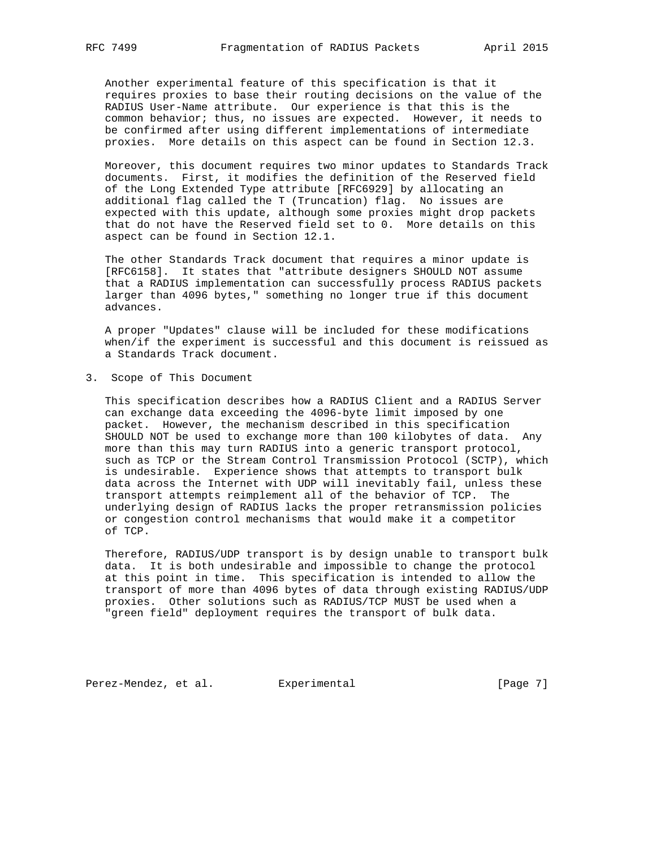Another experimental feature of this specification is that it requires proxies to base their routing decisions on the value of the RADIUS User-Name attribute. Our experience is that this is the common behavior; thus, no issues are expected. However, it needs to be confirmed after using different implementations of intermediate proxies. More details on this aspect can be found in Section 12.3.

 Moreover, this document requires two minor updates to Standards Track documents. First, it modifies the definition of the Reserved field of the Long Extended Type attribute [RFC6929] by allocating an additional flag called the T (Truncation) flag. No issues are expected with this update, although some proxies might drop packets that do not have the Reserved field set to 0. More details on this aspect can be found in Section 12.1.

 The other Standards Track document that requires a minor update is [RFC6158]. It states that "attribute designers SHOULD NOT assume that a RADIUS implementation can successfully process RADIUS packets larger than 4096 bytes," something no longer true if this document advances.

 A proper "Updates" clause will be included for these modifications when/if the experiment is successful and this document is reissued as a Standards Track document.

3. Scope of This Document

 This specification describes how a RADIUS Client and a RADIUS Server can exchange data exceeding the 4096-byte limit imposed by one packet. However, the mechanism described in this specification SHOULD NOT be used to exchange more than 100 kilobytes of data. Any more than this may turn RADIUS into a generic transport protocol, such as TCP or the Stream Control Transmission Protocol (SCTP), which is undesirable. Experience shows that attempts to transport bulk data across the Internet with UDP will inevitably fail, unless these transport attempts reimplement all of the behavior of TCP. The underlying design of RADIUS lacks the proper retransmission policies or congestion control mechanisms that would make it a competitor of TCP.

 Therefore, RADIUS/UDP transport is by design unable to transport bulk data. It is both undesirable and impossible to change the protocol at this point in time. This specification is intended to allow the transport of more than 4096 bytes of data through existing RADIUS/UDP proxies. Other solutions such as RADIUS/TCP MUST be used when a "green field" deployment requires the transport of bulk data.

Perez-Mendez, et al. Experimental extending the same series of the series of the series of  $[Page 7]$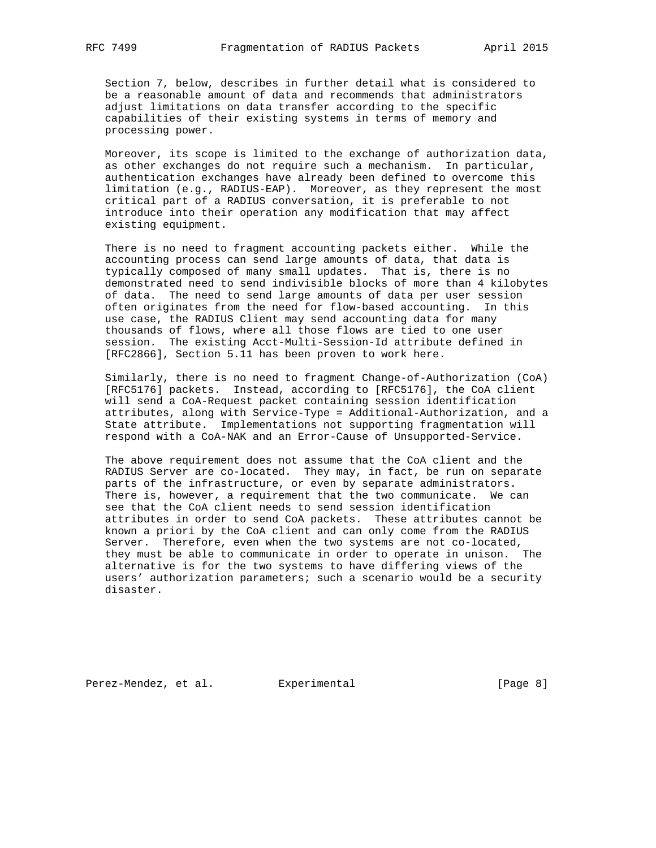Section 7, below, describes in further detail what is considered to be a reasonable amount of data and recommends that administrators adjust limitations on data transfer according to the specific capabilities of their existing systems in terms of memory and processing power.

 Moreover, its scope is limited to the exchange of authorization data, as other exchanges do not require such a mechanism. In particular, authentication exchanges have already been defined to overcome this limitation (e.g., RADIUS-EAP). Moreover, as they represent the most critical part of a RADIUS conversation, it is preferable to not introduce into their operation any modification that may affect existing equipment.

 There is no need to fragment accounting packets either. While the accounting process can send large amounts of data, that data is typically composed of many small updates. That is, there is no demonstrated need to send indivisible blocks of more than 4 kilobytes of data. The need to send large amounts of data per user session often originates from the need for flow-based accounting. In this use case, the RADIUS Client may send accounting data for many thousands of flows, where all those flows are tied to one user session. The existing Acct-Multi-Session-Id attribute defined in [RFC2866], Section 5.11 has been proven to work here.

 Similarly, there is no need to fragment Change-of-Authorization (CoA) [RFC5176] packets. Instead, according to [RFC5176], the CoA client will send a CoA-Request packet containing session identification attributes, along with Service-Type = Additional-Authorization, and a State attribute. Implementations not supporting fragmentation will respond with a CoA-NAK and an Error-Cause of Unsupported-Service.

 The above requirement does not assume that the CoA client and the RADIUS Server are co-located. They may, in fact, be run on separate parts of the infrastructure, or even by separate administrators. There is, however, a requirement that the two communicate. We can see that the CoA client needs to send session identification attributes in order to send CoA packets. These attributes cannot be known a priori by the CoA client and can only come from the RADIUS Server. Therefore, even when the two systems are not co-located, they must be able to communicate in order to operate in unison. The alternative is for the two systems to have differing views of the users' authorization parameters; such a scenario would be a security disaster.

Perez-Mendez, et al. Experimental [Page 8]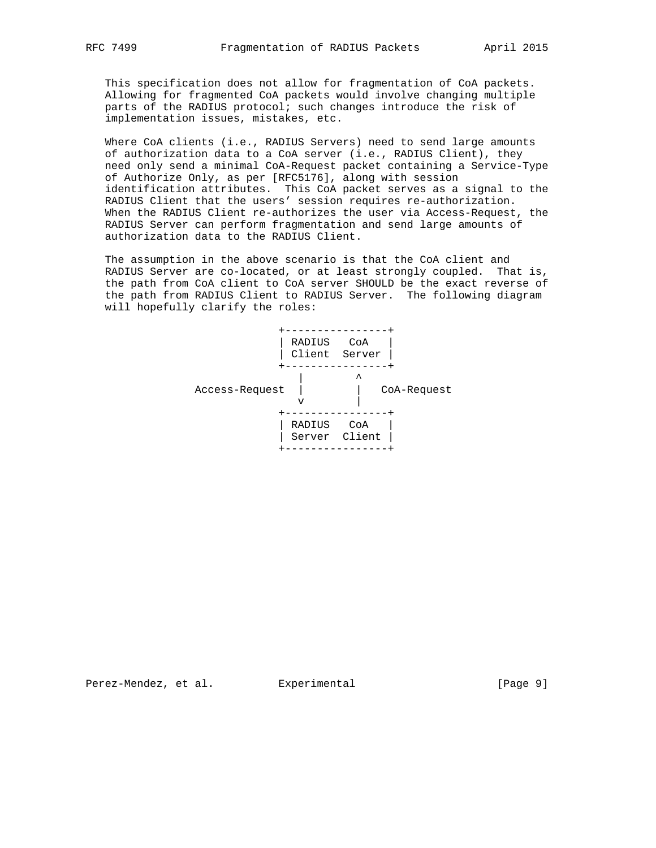This specification does not allow for fragmentation of CoA packets. Allowing for fragmented CoA packets would involve changing multiple parts of the RADIUS protocol; such changes introduce the risk of implementation issues, mistakes, etc.

 Where CoA clients (i.e., RADIUS Servers) need to send large amounts of authorization data to a CoA server (i.e., RADIUS Client), they need only send a minimal CoA-Request packet containing a Service-Type of Authorize Only, as per [RFC5176], along with session identification attributes. This CoA packet serves as a signal to the RADIUS Client that the users' session requires re-authorization. When the RADIUS Client re-authorizes the user via Access-Request, the RADIUS Server can perform fragmentation and send large amounts of authorization data to the RADIUS Client.

 The assumption in the above scenario is that the CoA client and RADIUS Server are co-located, or at least strongly coupled. That is, the path from CoA client to CoA server SHOULD be the exact reverse of the path from RADIUS Client to RADIUS Server. The following diagram will hopefully clarify the roles:



Perez-Mendez, et al. Experimental [Page 9]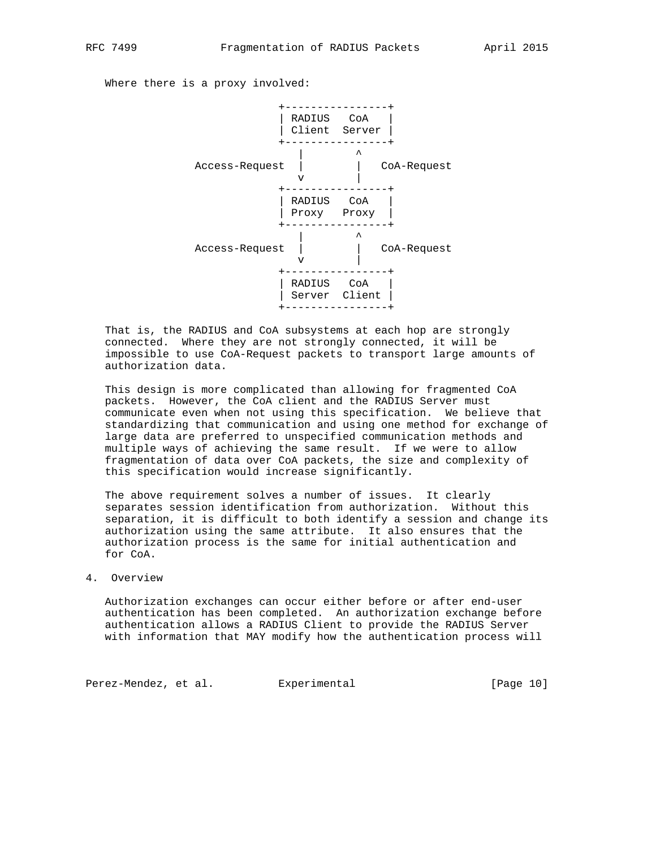Where there is a proxy involved:



 That is, the RADIUS and CoA subsystems at each hop are strongly connected. Where they are not strongly connected, it will be impossible to use CoA-Request packets to transport large amounts of authorization data.

 This design is more complicated than allowing for fragmented CoA packets. However, the CoA client and the RADIUS Server must communicate even when not using this specification. We believe that standardizing that communication and using one method for exchange of large data are preferred to unspecified communication methods and multiple ways of achieving the same result. If we were to allow fragmentation of data over CoA packets, the size and complexity of this specification would increase significantly.

 The above requirement solves a number of issues. It clearly separates session identification from authorization. Without this separation, it is difficult to both identify a session and change its authorization using the same attribute. It also ensures that the authorization process is the same for initial authentication and for CoA.

## 4. Overview

 Authorization exchanges can occur either before or after end-user authentication has been completed. An authorization exchange before authentication allows a RADIUS Client to provide the RADIUS Server with information that MAY modify how the authentication process will

Perez-Mendez, et al. Experimental [Page 10]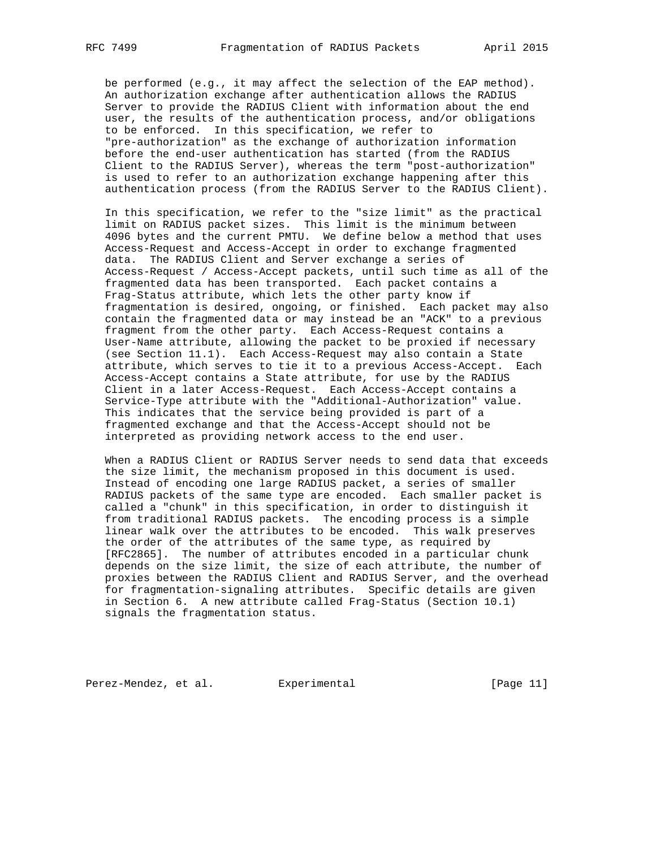be performed (e.g., it may affect the selection of the EAP method). An authorization exchange after authentication allows the RADIUS Server to provide the RADIUS Client with information about the end user, the results of the authentication process, and/or obligations to be enforced. In this specification, we refer to "pre-authorization" as the exchange of authorization information before the end-user authentication has started (from the RADIUS Client to the RADIUS Server), whereas the term "post-authorization" is used to refer to an authorization exchange happening after this authentication process (from the RADIUS Server to the RADIUS Client).

 In this specification, we refer to the "size limit" as the practical limit on RADIUS packet sizes. This limit is the minimum between 4096 bytes and the current PMTU. We define below a method that uses Access-Request and Access-Accept in order to exchange fragmented data. The RADIUS Client and Server exchange a series of Access-Request / Access-Accept packets, until such time as all of the fragmented data has been transported. Each packet contains a Frag-Status attribute, which lets the other party know if fragmentation is desired, ongoing, or finished. Each packet may also contain the fragmented data or may instead be an "ACK" to a previous fragment from the other party. Each Access-Request contains a User-Name attribute, allowing the packet to be proxied if necessary (see Section 11.1). Each Access-Request may also contain a State attribute, which serves to tie it to a previous Access-Accept. Each Access-Accept contains a State attribute, for use by the RADIUS Client in a later Access-Request. Each Access-Accept contains a Service-Type attribute with the "Additional-Authorization" value. This indicates that the service being provided is part of a fragmented exchange and that the Access-Accept should not be interpreted as providing network access to the end user.

 When a RADIUS Client or RADIUS Server needs to send data that exceeds the size limit, the mechanism proposed in this document is used. Instead of encoding one large RADIUS packet, a series of smaller RADIUS packets of the same type are encoded. Each smaller packet is called a "chunk" in this specification, in order to distinguish it from traditional RADIUS packets. The encoding process is a simple linear walk over the attributes to be encoded. This walk preserves the order of the attributes of the same type, as required by [RFC2865]. The number of attributes encoded in a particular chunk depends on the size limit, the size of each attribute, the number of proxies between the RADIUS Client and RADIUS Server, and the overhead for fragmentation-signaling attributes. Specific details are given in Section 6. A new attribute called Frag-Status (Section 10.1) signals the fragmentation status.

Perez-Mendez, et al. Experimental [Page 11]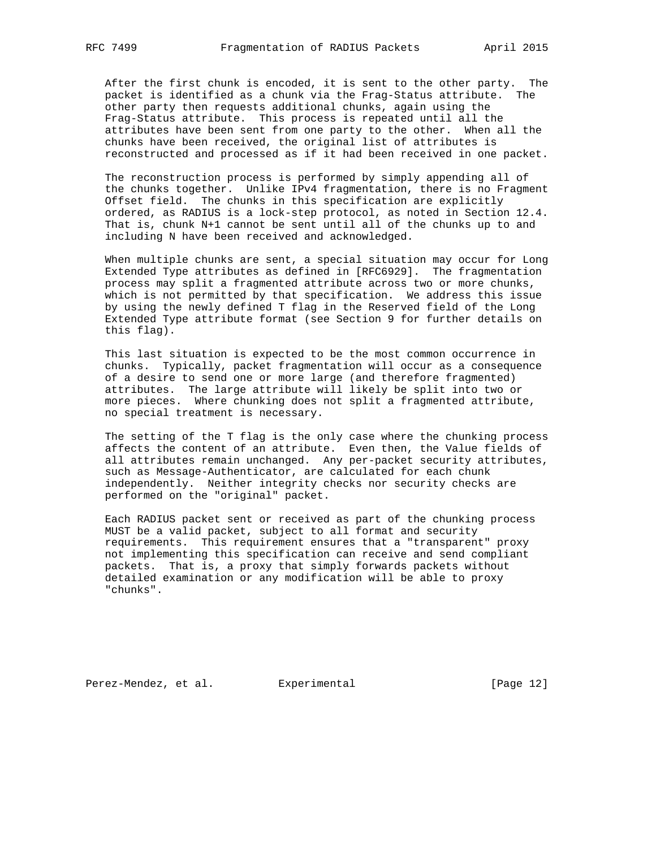After the first chunk is encoded, it is sent to the other party. The packet is identified as a chunk via the Frag-Status attribute. The other party then requests additional chunks, again using the Frag-Status attribute. This process is repeated until all the attributes have been sent from one party to the other. When all the chunks have been received, the original list of attributes is reconstructed and processed as if it had been received in one packet.

 The reconstruction process is performed by simply appending all of the chunks together. Unlike IPv4 fragmentation, there is no Fragment Offset field. The chunks in this specification are explicitly ordered, as RADIUS is a lock-step protocol, as noted in Section 12.4. That is, chunk N+1 cannot be sent until all of the chunks up to and including N have been received and acknowledged.

 When multiple chunks are sent, a special situation may occur for Long Extended Type attributes as defined in [RFC6929]. The fragmentation process may split a fragmented attribute across two or more chunks, which is not permitted by that specification. We address this issue by using the newly defined T flag in the Reserved field of the Long Extended Type attribute format (see Section 9 for further details on this flag).

 This last situation is expected to be the most common occurrence in chunks. Typically, packet fragmentation will occur as a consequence of a desire to send one or more large (and therefore fragmented) attributes. The large attribute will likely be split into two or more pieces. Where chunking does not split a fragmented attribute, no special treatment is necessary.

 The setting of the T flag is the only case where the chunking process affects the content of an attribute. Even then, the Value fields of all attributes remain unchanged. Any per-packet security attributes, such as Message-Authenticator, are calculated for each chunk independently. Neither integrity checks nor security checks are performed on the "original" packet.

 Each RADIUS packet sent or received as part of the chunking process MUST be a valid packet, subject to all format and security requirements. This requirement ensures that a "transparent" proxy not implementing this specification can receive and send compliant packets. That is, a proxy that simply forwards packets without detailed examination or any modification will be able to proxy "chunks".

Perez-Mendez, et al. Experimental [Page 12]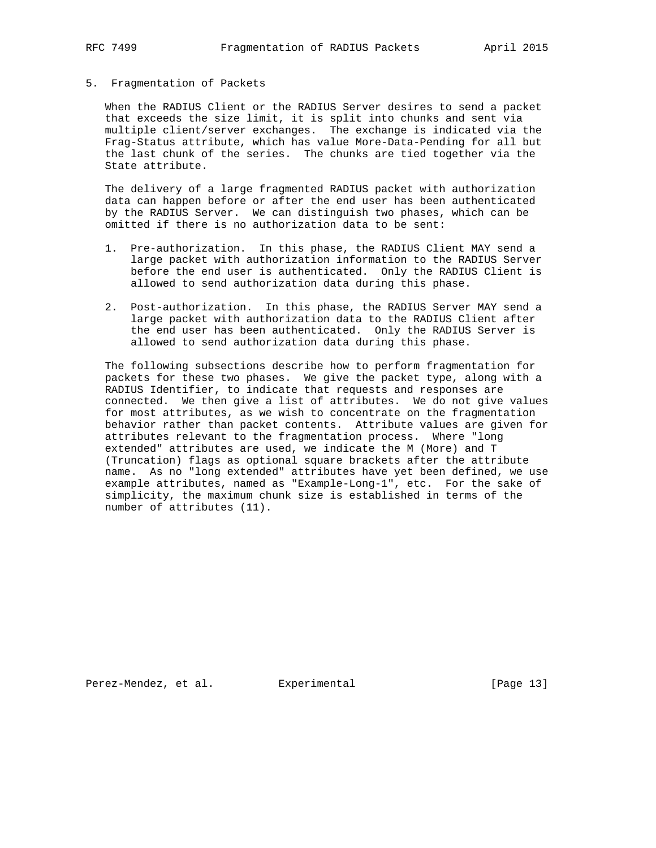#### 5. Fragmentation of Packets

 When the RADIUS Client or the RADIUS Server desires to send a packet that exceeds the size limit, it is split into chunks and sent via multiple client/server exchanges. The exchange is indicated via the Frag-Status attribute, which has value More-Data-Pending for all but the last chunk of the series. The chunks are tied together via the State attribute.

 The delivery of a large fragmented RADIUS packet with authorization data can happen before or after the end user has been authenticated by the RADIUS Server. We can distinguish two phases, which can be omitted if there is no authorization data to be sent:

- 1. Pre-authorization. In this phase, the RADIUS Client MAY send a large packet with authorization information to the RADIUS Server before the end user is authenticated. Only the RADIUS Client is allowed to send authorization data during this phase.
- 2. Post-authorization. In this phase, the RADIUS Server MAY send a large packet with authorization data to the RADIUS Client after the end user has been authenticated. Only the RADIUS Server is allowed to send authorization data during this phase.

 The following subsections describe how to perform fragmentation for packets for these two phases. We give the packet type, along with a RADIUS Identifier, to indicate that requests and responses are connected. We then give a list of attributes. We do not give values for most attributes, as we wish to concentrate on the fragmentation behavior rather than packet contents. Attribute values are given for attributes relevant to the fragmentation process. Where "long extended" attributes are used, we indicate the M (More) and T (Truncation) flags as optional square brackets after the attribute name. As no "long extended" attributes have yet been defined, we use example attributes, named as "Example-Long-1", etc. For the sake of simplicity, the maximum chunk size is established in terms of the number of attributes (11).

Perez-Mendez, et al. Experimental [Page 13]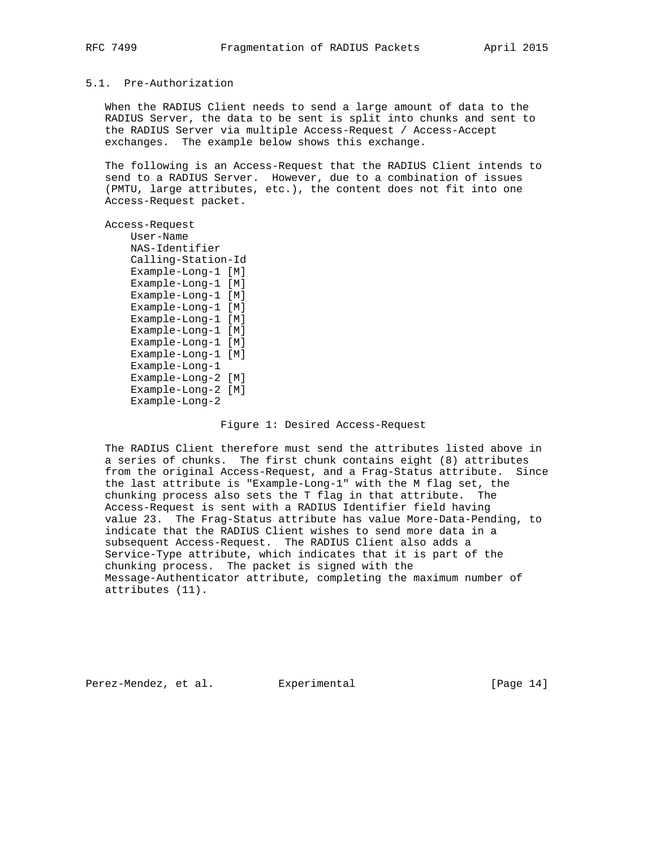## 5.1. Pre-Authorization

 When the RADIUS Client needs to send a large amount of data to the RADIUS Server, the data to be sent is split into chunks and sent to the RADIUS Server via multiple Access-Request / Access-Accept exchanges. The example below shows this exchange.

 The following is an Access-Request that the RADIUS Client intends to send to a RADIUS Server. However, due to a combination of issues (PMTU, large attributes, etc.), the content does not fit into one Access-Request packet.

#### Access-Request

 User-Name NAS-Identifier Calling-Station-Id Example-Long-1 [M] Example-Long-1 [M] Example-Long-1 [M] Example-Long-1 [M] Example-Long-1 [M] Example-Long-1 [M] Example-Long-1 [M] Example-Long-1 [M] Example-Long-1 Example-Long-2 [M] Example-Long-2 [M] Example-Long-2

#### Figure 1: Desired Access-Request

 The RADIUS Client therefore must send the attributes listed above in a series of chunks. The first chunk contains eight (8) attributes from the original Access-Request, and a Frag-Status attribute. Since the last attribute is "Example-Long-1" with the M flag set, the chunking process also sets the T flag in that attribute. The Access-Request is sent with a RADIUS Identifier field having value 23. The Frag-Status attribute has value More-Data-Pending, to indicate that the RADIUS Client wishes to send more data in a subsequent Access-Request. The RADIUS Client also adds a Service-Type attribute, which indicates that it is part of the chunking process. The packet is signed with the Message-Authenticator attribute, completing the maximum number of attributes (11).

Perez-Mendez, et al. Experimental [Page 14]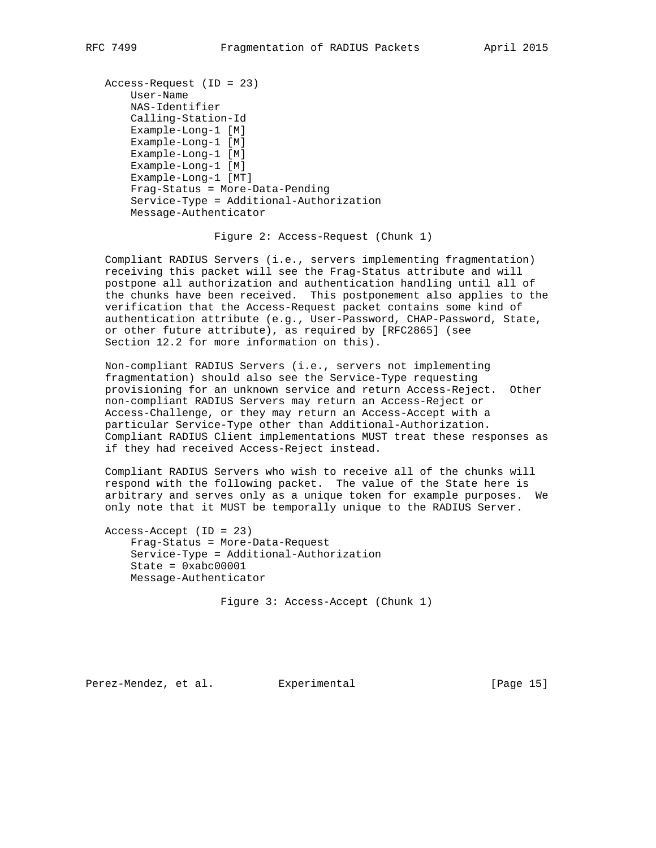```
 Access-Request (ID = 23)
    User-Name
     NAS-Identifier
     Calling-Station-Id
     Example-Long-1 [M]
     Example-Long-1 [M]
     Example-Long-1 [M]
     Example-Long-1 [M]
     Example-Long-1 [MT]
     Frag-Status = More-Data-Pending
     Service-Type = Additional-Authorization
     Message-Authenticator
```
Figure 2: Access-Request (Chunk 1)

 Compliant RADIUS Servers (i.e., servers implementing fragmentation) receiving this packet will see the Frag-Status attribute and will postpone all authorization and authentication handling until all of the chunks have been received. This postponement also applies to the verification that the Access-Request packet contains some kind of authentication attribute (e.g., User-Password, CHAP-Password, State, or other future attribute), as required by [RFC2865] (see Section 12.2 for more information on this).

 Non-compliant RADIUS Servers (i.e., servers not implementing fragmentation) should also see the Service-Type requesting provisioning for an unknown service and return Access-Reject. Other non-compliant RADIUS Servers may return an Access-Reject or Access-Challenge, or they may return an Access-Accept with a particular Service-Type other than Additional-Authorization. Compliant RADIUS Client implementations MUST treat these responses as if they had received Access-Reject instead.

 Compliant RADIUS Servers who wish to receive all of the chunks will respond with the following packet. The value of the State here is arbitrary and serves only as a unique token for example purposes. We only note that it MUST be temporally unique to the RADIUS Server.

 Access-Accept (ID = 23) Frag-Status = More-Data-Request Service-Type = Additional-Authorization  $State = 0xabc00001$ Message-Authenticator

Figure 3: Access-Accept (Chunk 1)

Perez-Mendez, et al. Experimental [Page 15]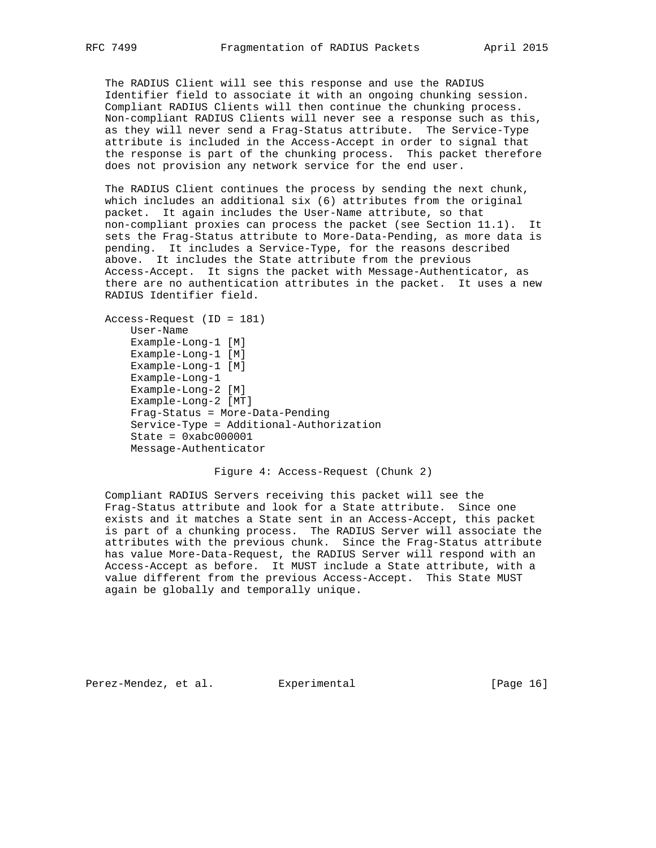The RADIUS Client will see this response and use the RADIUS Identifier field to associate it with an ongoing chunking session. Compliant RADIUS Clients will then continue the chunking process. Non-compliant RADIUS Clients will never see a response such as this, as they will never send a Frag-Status attribute. The Service-Type attribute is included in the Access-Accept in order to signal that the response is part of the chunking process. This packet therefore does not provision any network service for the end user.

 The RADIUS Client continues the process by sending the next chunk, which includes an additional six (6) attributes from the original packet. It again includes the User-Name attribute, so that non-compliant proxies can process the packet (see Section 11.1). It sets the Frag-Status attribute to More-Data-Pending, as more data is pending. It includes a Service-Type, for the reasons described above. It includes the State attribute from the previous Access-Accept. It signs the packet with Message-Authenticator, as there are no authentication attributes in the packet. It uses a new RADIUS Identifier field.

```
 Access-Request (ID = 181)
     User-Name
     Example-Long-1 [M]
     Example-Long-1 [M]
     Example-Long-1 [M]
     Example-Long-1
     Example-Long-2 [M]
     Example-Long-2 [MT]
     Frag-Status = More-Data-Pending
     Service-Type = Additional-Authorization
    State = 0xabc000001 Message-Authenticator
```
Figure 4: Access-Request (Chunk 2)

 Compliant RADIUS Servers receiving this packet will see the Frag-Status attribute and look for a State attribute. Since one exists and it matches a State sent in an Access-Accept, this packet is part of a chunking process. The RADIUS Server will associate the attributes with the previous chunk. Since the Frag-Status attribute has value More-Data-Request, the RADIUS Server will respond with an Access-Accept as before. It MUST include a State attribute, with a value different from the previous Access-Accept. This State MUST again be globally and temporally unique.

Perez-Mendez, et al. Experimental [Page 16]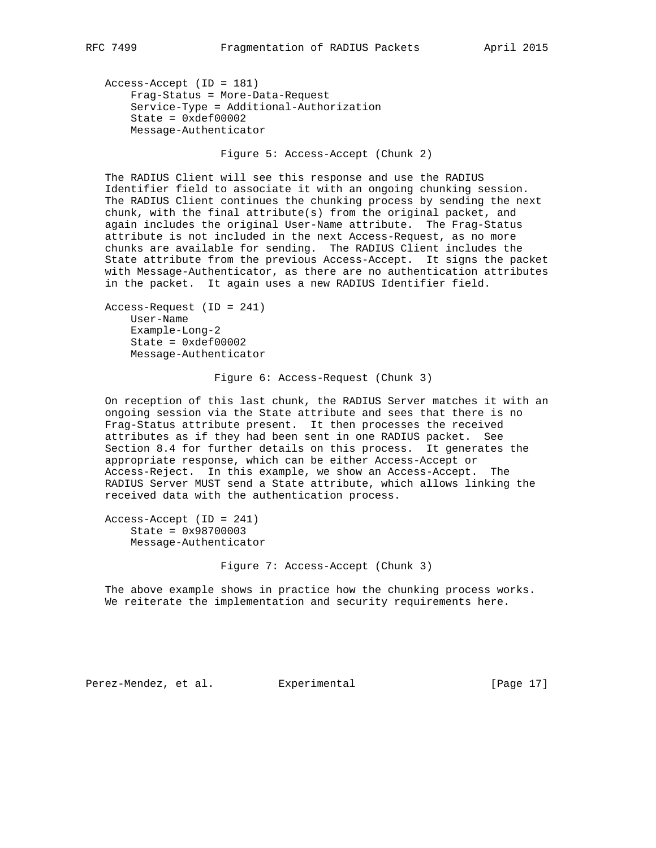Access-Accept (ID = 181) Frag-Status = More-Data-Request Service-Type = Additional-Authorization State = 0xdef00002 Message-Authenticator

Figure 5: Access-Accept (Chunk 2)

 The RADIUS Client will see this response and use the RADIUS Identifier field to associate it with an ongoing chunking session. The RADIUS Client continues the chunking process by sending the next chunk, with the final attribute(s) from the original packet, and again includes the original User-Name attribute. The Frag-Status attribute is not included in the next Access-Request, as no more chunks are available for sending. The RADIUS Client includes the State attribute from the previous Access-Accept. It signs the packet with Message-Authenticator, as there are no authentication attributes in the packet. It again uses a new RADIUS Identifier field.

```
 Access-Request (ID = 241)
     User-Name
     Example-Long-2
     State = 0xdef00002
     Message-Authenticator
```
Figure 6: Access-Request (Chunk 3)

 On reception of this last chunk, the RADIUS Server matches it with an ongoing session via the State attribute and sees that there is no Frag-Status attribute present. It then processes the received attributes as if they had been sent in one RADIUS packet. See Section 8.4 for further details on this process. It generates the appropriate response, which can be either Access-Accept or Access-Reject. In this example, we show an Access-Accept. The RADIUS Server MUST send a State attribute, which allows linking the received data with the authentication process.

 Access-Accept (ID = 241) State = 0x98700003 Message-Authenticator

Figure 7: Access-Accept (Chunk 3)

 The above example shows in practice how the chunking process works. We reiterate the implementation and security requirements here.

Perez-Mendez, et al. Experimental [Page 17]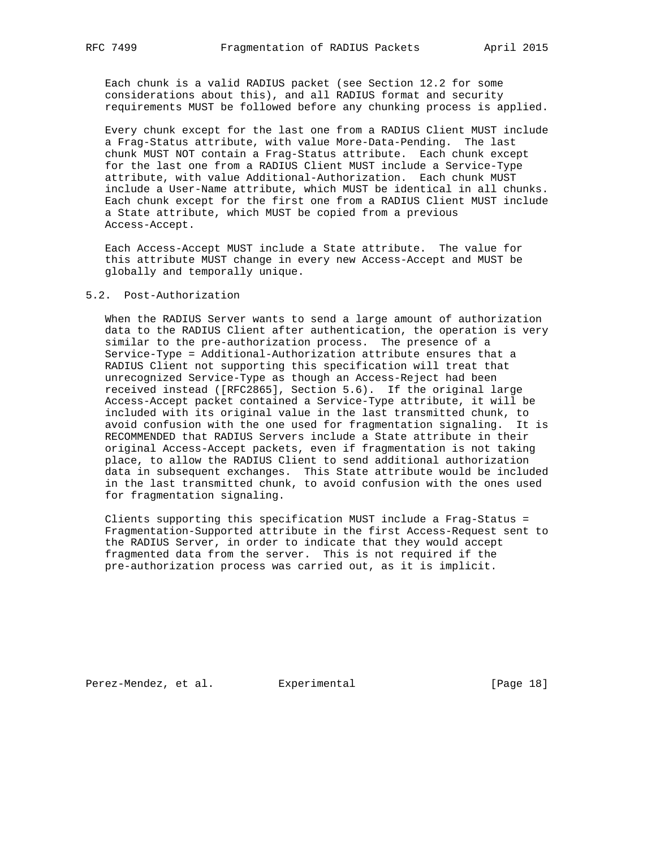Each chunk is a valid RADIUS packet (see Section 12.2 for some considerations about this), and all RADIUS format and security requirements MUST be followed before any chunking process is applied.

 Every chunk except for the last one from a RADIUS Client MUST include a Frag-Status attribute, with value More-Data-Pending. The last chunk MUST NOT contain a Frag-Status attribute. Each chunk except for the last one from a RADIUS Client MUST include a Service-Type attribute, with value Additional-Authorization. Each chunk MUST include a User-Name attribute, which MUST be identical in all chunks. Each chunk except for the first one from a RADIUS Client MUST include a State attribute, which MUST be copied from a previous Access-Accept.

 Each Access-Accept MUST include a State attribute. The value for this attribute MUST change in every new Access-Accept and MUST be globally and temporally unique.

## 5.2. Post-Authorization

 When the RADIUS Server wants to send a large amount of authorization data to the RADIUS Client after authentication, the operation is very similar to the pre-authorization process. The presence of a Service-Type = Additional-Authorization attribute ensures that a RADIUS Client not supporting this specification will treat that unrecognized Service-Type as though an Access-Reject had been received instead ([RFC2865], Section 5.6). If the original large Access-Accept packet contained a Service-Type attribute, it will be included with its original value in the last transmitted chunk, to avoid confusion with the one used for fragmentation signaling. It is RECOMMENDED that RADIUS Servers include a State attribute in their original Access-Accept packets, even if fragmentation is not taking place, to allow the RADIUS Client to send additional authorization data in subsequent exchanges. This State attribute would be included in the last transmitted chunk, to avoid confusion with the ones used for fragmentation signaling.

 Clients supporting this specification MUST include a Frag-Status = Fragmentation-Supported attribute in the first Access-Request sent to the RADIUS Server, in order to indicate that they would accept fragmented data from the server. This is not required if the pre-authorization process was carried out, as it is implicit.

Perez-Mendez, et al. Experimental [Page 18]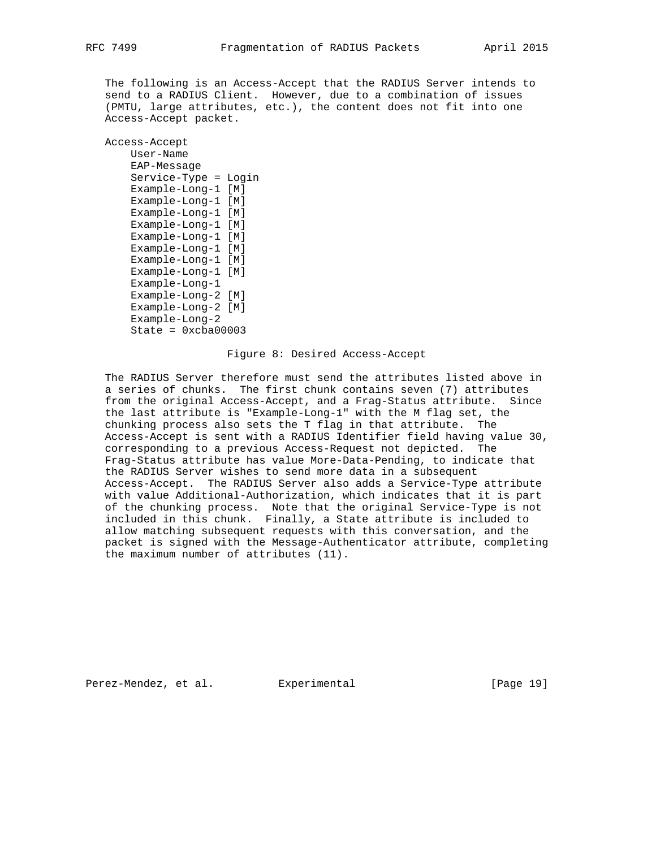The following is an Access-Accept that the RADIUS Server intends to send to a RADIUS Client. However, due to a combination of issues (PMTU, large attributes, etc.), the content does not fit into one Access-Accept packet.

 Access-Accept User-Name EAP-Message Service-Type = Login Example-Long-1 [M] Example-Long-1 [M] Example-Long-1 [M] Example-Long-1 [M] Example-Long-1 [M] Example-Long-1 [M] Example-Long-1 [M] Example-Long-1 [M] Example-Long-1 Example-Long-2 [M] Example-Long-2 [M] Example-Long-2  $State = 0xcba00003$ 

## Figure 8: Desired Access-Accept

 The RADIUS Server therefore must send the attributes listed above in a series of chunks. The first chunk contains seven (7) attributes from the original Access-Accept, and a Frag-Status attribute. Since the last attribute is "Example-Long-1" with the M flag set, the chunking process also sets the T flag in that attribute. The Access-Accept is sent with a RADIUS Identifier field having value 30, corresponding to a previous Access-Request not depicted. The Frag-Status attribute has value More-Data-Pending, to indicate that the RADIUS Server wishes to send more data in a subsequent Access-Accept. The RADIUS Server also adds a Service-Type attribute with value Additional-Authorization, which indicates that it is part of the chunking process. Note that the original Service-Type is not included in this chunk. Finally, a State attribute is included to allow matching subsequent requests with this conversation, and the packet is signed with the Message-Authenticator attribute, completing the maximum number of attributes (11).

Perez-Mendez, et al. Experimental [Page 19]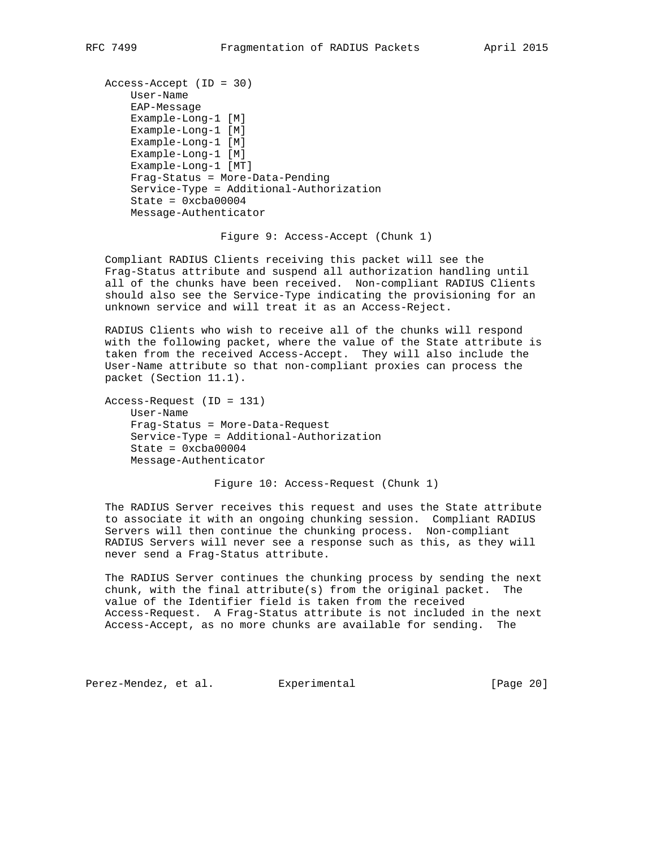```
 Access-Accept (ID = 30)
    User-Name
     EAP-Message
     Example-Long-1 [M]
     Example-Long-1 [M]
     Example-Long-1 [M]
     Example-Long-1 [M]
     Example-Long-1 [MT]
     Frag-Status = More-Data-Pending
     Service-Type = Additional-Authorization
    State = 0xcba00004 Message-Authenticator
```
Figure 9: Access-Accept (Chunk 1)

 Compliant RADIUS Clients receiving this packet will see the Frag-Status attribute and suspend all authorization handling until all of the chunks have been received. Non-compliant RADIUS Clients should also see the Service-Type indicating the provisioning for an unknown service and will treat it as an Access-Reject.

 RADIUS Clients who wish to receive all of the chunks will respond with the following packet, where the value of the State attribute is taken from the received Access-Accept. They will also include the User-Name attribute so that non-compliant proxies can process the packet (Section 11.1).

```
 Access-Request (ID = 131)
     User-Name
     Frag-Status = More-Data-Request
     Service-Type = Additional-Authorization
    State = 0xcba00004 Message-Authenticator
```
Figure 10: Access-Request (Chunk 1)

 The RADIUS Server receives this request and uses the State attribute to associate it with an ongoing chunking session. Compliant RADIUS Servers will then continue the chunking process. Non-compliant RADIUS Servers will never see a response such as this, as they will never send a Frag-Status attribute.

 The RADIUS Server continues the chunking process by sending the next chunk, with the final attribute(s) from the original packet. The value of the Identifier field is taken from the received Access-Request. A Frag-Status attribute is not included in the next Access-Accept, as no more chunks are available for sending. The

Perez-Mendez, et al. Experimental [Page 20]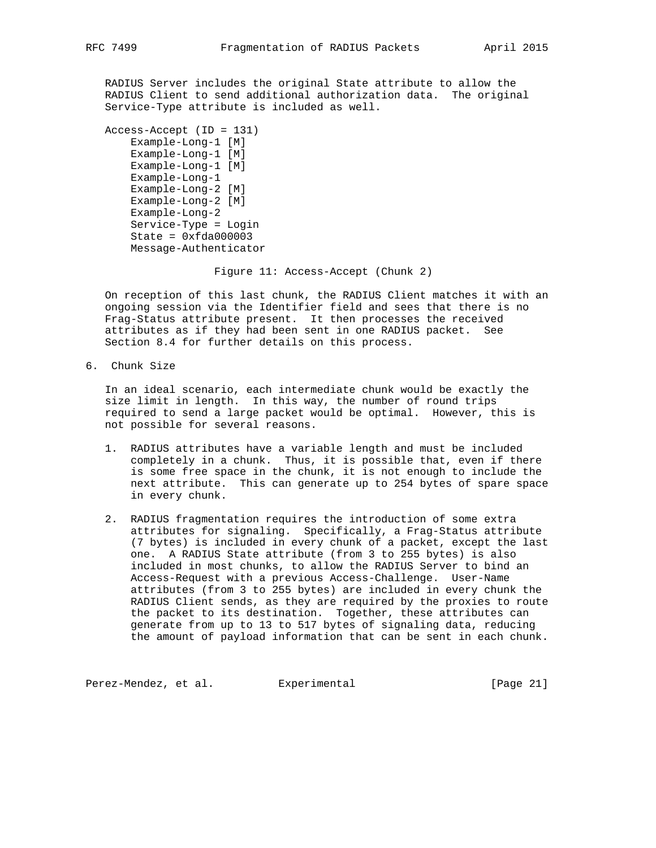RADIUS Server includes the original State attribute to allow the RADIUS Client to send additional authorization data. The original Service-Type attribute is included as well.

```
 Access-Accept (ID = 131)
     Example-Long-1 [M]
     Example-Long-1 [M]
     Example-Long-1 [M]
     Example-Long-1
     Example-Long-2 [M]
     Example-Long-2 [M]
     Example-Long-2
     Service-Type = Login
    State = 0xfda000003 Message-Authenticator
```
Figure 11: Access-Accept (Chunk 2)

 On reception of this last chunk, the RADIUS Client matches it with an ongoing session via the Identifier field and sees that there is no Frag-Status attribute present. It then processes the received attributes as if they had been sent in one RADIUS packet. See Section 8.4 for further details on this process.

6. Chunk Size

 In an ideal scenario, each intermediate chunk would be exactly the size limit in length. In this way, the number of round trips required to send a large packet would be optimal. However, this is not possible for several reasons.

- 1. RADIUS attributes have a variable length and must be included completely in a chunk. Thus, it is possible that, even if there is some free space in the chunk, it is not enough to include the next attribute. This can generate up to 254 bytes of spare space in every chunk.
- 2. RADIUS fragmentation requires the introduction of some extra attributes for signaling. Specifically, a Frag-Status attribute (7 bytes) is included in every chunk of a packet, except the last one. A RADIUS State attribute (from 3 to 255 bytes) is also included in most chunks, to allow the RADIUS Server to bind an Access-Request with a previous Access-Challenge. User-Name attributes (from 3 to 255 bytes) are included in every chunk the RADIUS Client sends, as they are required by the proxies to route the packet to its destination. Together, these attributes can generate from up to 13 to 517 bytes of signaling data, reducing the amount of payload information that can be sent in each chunk.

Perez-Mendez, et al. Experimental [Page 21]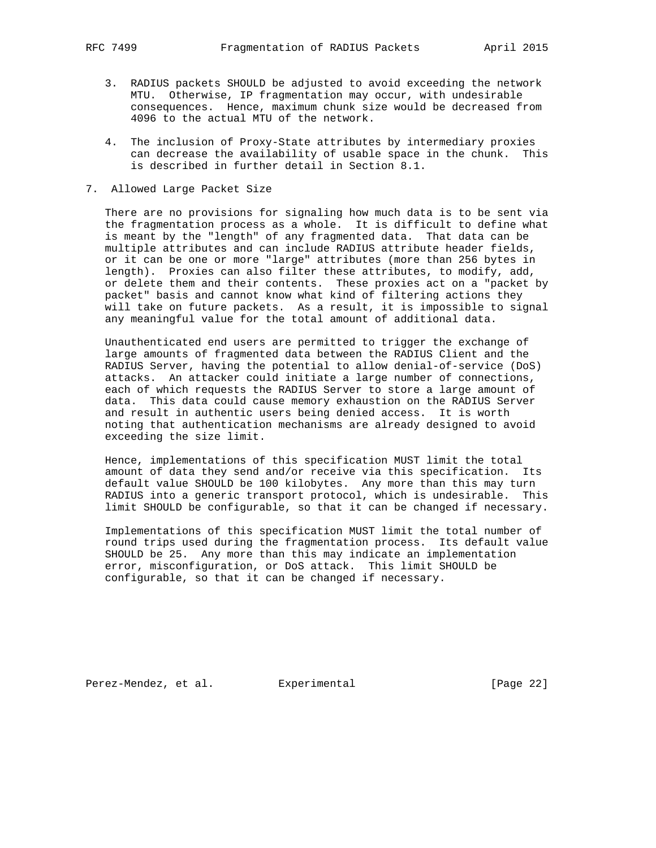- 3. RADIUS packets SHOULD be adjusted to avoid exceeding the network MTU. Otherwise, IP fragmentation may occur, with undesirable consequences. Hence, maximum chunk size would be decreased from 4096 to the actual MTU of the network.
- 4. The inclusion of Proxy-State attributes by intermediary proxies can decrease the availability of usable space in the chunk. This is described in further detail in Section 8.1.
- 7. Allowed Large Packet Size

 There are no provisions for signaling how much data is to be sent via the fragmentation process as a whole. It is difficult to define what is meant by the "length" of any fragmented data. That data can be multiple attributes and can include RADIUS attribute header fields, or it can be one or more "large" attributes (more than 256 bytes in length). Proxies can also filter these attributes, to modify, add, or delete them and their contents. These proxies act on a "packet by packet" basis and cannot know what kind of filtering actions they will take on future packets. As a result, it is impossible to signal any meaningful value for the total amount of additional data.

 Unauthenticated end users are permitted to trigger the exchange of large amounts of fragmented data between the RADIUS Client and the RADIUS Server, having the potential to allow denial-of-service (DoS) attacks. An attacker could initiate a large number of connections, each of which requests the RADIUS Server to store a large amount of data. This data could cause memory exhaustion on the RADIUS Server and result in authentic users being denied access. It is worth noting that authentication mechanisms are already designed to avoid exceeding the size limit.

 Hence, implementations of this specification MUST limit the total amount of data they send and/or receive via this specification. Its default value SHOULD be 100 kilobytes. Any more than this may turn RADIUS into a generic transport protocol, which is undesirable. This limit SHOULD be configurable, so that it can be changed if necessary.

 Implementations of this specification MUST limit the total number of round trips used during the fragmentation process. Its default value SHOULD be 25. Any more than this may indicate an implementation error, misconfiguration, or DoS attack. This limit SHOULD be configurable, so that it can be changed if necessary.

Perez-Mendez, et al. Experimental [Page 22]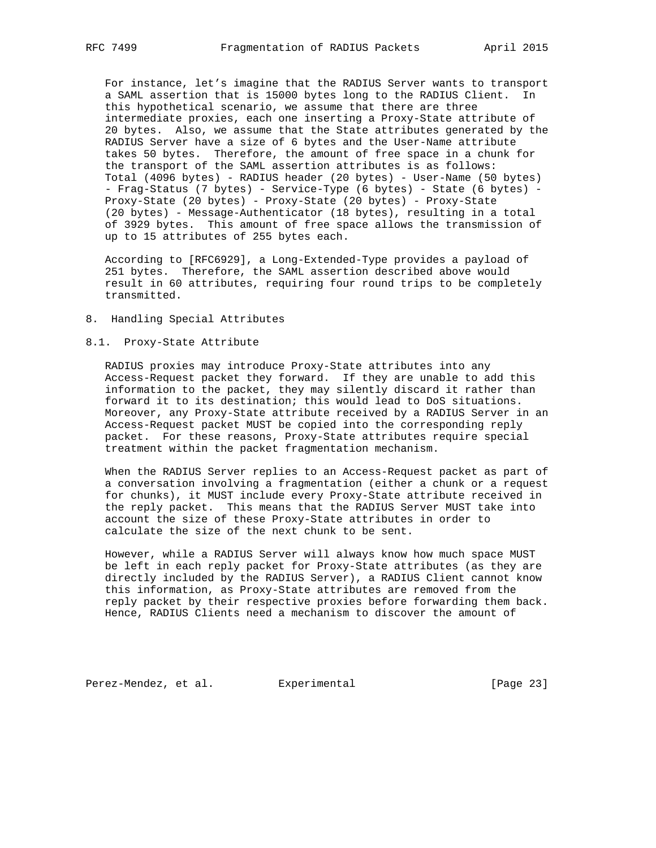For instance, let's imagine that the RADIUS Server wants to transport a SAML assertion that is 15000 bytes long to the RADIUS Client. In this hypothetical scenario, we assume that there are three intermediate proxies, each one inserting a Proxy-State attribute of 20 bytes. Also, we assume that the State attributes generated by the RADIUS Server have a size of 6 bytes and the User-Name attribute takes 50 bytes. Therefore, the amount of free space in a chunk for the transport of the SAML assertion attributes is as follows: Total (4096 bytes) - RADIUS header (20 bytes) - User-Name (50 bytes) - Frag-Status (7 bytes) - Service-Type (6 bytes) - State (6 bytes) - Proxy-State (20 bytes) - Proxy-State (20 bytes) - Proxy-State (20 bytes) - Message-Authenticator (18 bytes), resulting in a total of 3929 bytes. This amount of free space allows the transmission of up to 15 attributes of 255 bytes each.

 According to [RFC6929], a Long-Extended-Type provides a payload of 251 bytes. Therefore, the SAML assertion described above would result in 60 attributes, requiring four round trips to be completely transmitted.

8. Handling Special Attributes

## 8.1. Proxy-State Attribute

 RADIUS proxies may introduce Proxy-State attributes into any Access-Request packet they forward. If they are unable to add this information to the packet, they may silently discard it rather than forward it to its destination; this would lead to DoS situations. Moreover, any Proxy-State attribute received by a RADIUS Server in an Access-Request packet MUST be copied into the corresponding reply packet. For these reasons, Proxy-State attributes require special treatment within the packet fragmentation mechanism.

 When the RADIUS Server replies to an Access-Request packet as part of a conversation involving a fragmentation (either a chunk or a request for chunks), it MUST include every Proxy-State attribute received in the reply packet. This means that the RADIUS Server MUST take into account the size of these Proxy-State attributes in order to calculate the size of the next chunk to be sent.

 However, while a RADIUS Server will always know how much space MUST be left in each reply packet for Proxy-State attributes (as they are directly included by the RADIUS Server), a RADIUS Client cannot know this information, as Proxy-State attributes are removed from the reply packet by their respective proxies before forwarding them back. Hence, RADIUS Clients need a mechanism to discover the amount of

Perez-Mendez, et al. Experimental [Page 23]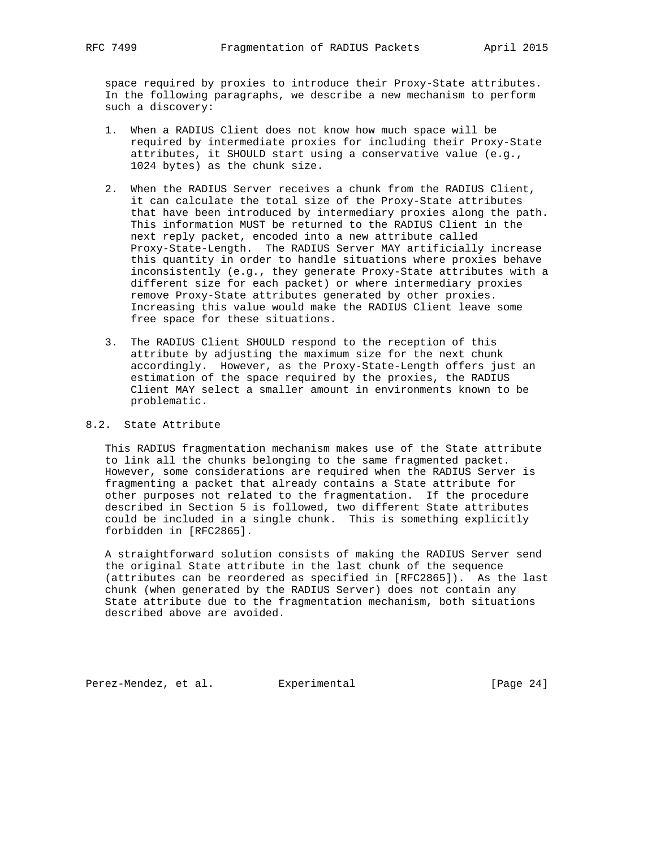space required by proxies to introduce their Proxy-State attributes. In the following paragraphs, we describe a new mechanism to perform such a discovery:

- 1. When a RADIUS Client does not know how much space will be required by intermediate proxies for including their Proxy-State attributes, it SHOULD start using a conservative value (e.g., 1024 bytes) as the chunk size.
- 2. When the RADIUS Server receives a chunk from the RADIUS Client, it can calculate the total size of the Proxy-State attributes that have been introduced by intermediary proxies along the path. This information MUST be returned to the RADIUS Client in the next reply packet, encoded into a new attribute called Proxy-State-Length. The RADIUS Server MAY artificially increase this quantity in order to handle situations where proxies behave inconsistently (e.g., they generate Proxy-State attributes with a different size for each packet) or where intermediary proxies remove Proxy-State attributes generated by other proxies. Increasing this value would make the RADIUS Client leave some free space for these situations.
- 3. The RADIUS Client SHOULD respond to the reception of this attribute by adjusting the maximum size for the next chunk accordingly. However, as the Proxy-State-Length offers just an estimation of the space required by the proxies, the RADIUS Client MAY select a smaller amount in environments known to be problematic.

## 8.2. State Attribute

 This RADIUS fragmentation mechanism makes use of the State attribute to link all the chunks belonging to the same fragmented packet. However, some considerations are required when the RADIUS Server is fragmenting a packet that already contains a State attribute for other purposes not related to the fragmentation. If the procedure described in Section 5 is followed, two different State attributes could be included in a single chunk. This is something explicitly forbidden in [RFC2865].

 A straightforward solution consists of making the RADIUS Server send the original State attribute in the last chunk of the sequence (attributes can be reordered as specified in [RFC2865]). As the last chunk (when generated by the RADIUS Server) does not contain any State attribute due to the fragmentation mechanism, both situations described above are avoided.

Perez-Mendez, et al. Experimental [Page 24]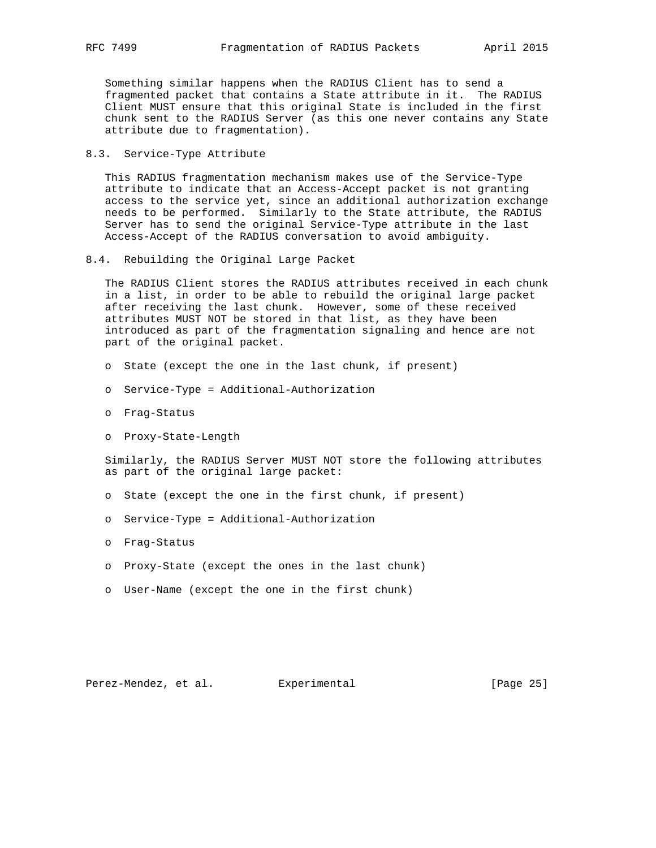Something similar happens when the RADIUS Client has to send a fragmented packet that contains a State attribute in it. The RADIUS Client MUST ensure that this original State is included in the first chunk sent to the RADIUS Server (as this one never contains any State attribute due to fragmentation).

## 8.3. Service-Type Attribute

 This RADIUS fragmentation mechanism makes use of the Service-Type attribute to indicate that an Access-Accept packet is not granting access to the service yet, since an additional authorization exchange needs to be performed. Similarly to the State attribute, the RADIUS Server has to send the original Service-Type attribute in the last Access-Accept of the RADIUS conversation to avoid ambiguity.

8.4. Rebuilding the Original Large Packet

 The RADIUS Client stores the RADIUS attributes received in each chunk in a list, in order to be able to rebuild the original large packet after receiving the last chunk. However, some of these received attributes MUST NOT be stored in that list, as they have been introduced as part of the fragmentation signaling and hence are not part of the original packet.

- o State (except the one in the last chunk, if present)
- o Service-Type = Additional-Authorization
- o Frag-Status
- o Proxy-State-Length

 Similarly, the RADIUS Server MUST NOT store the following attributes as part of the original large packet:

- o State (except the one in the first chunk, if present)
- o Service-Type = Additional-Authorization
- o Frag-Status
- o Proxy-State (except the ones in the last chunk)
- o User-Name (except the one in the first chunk)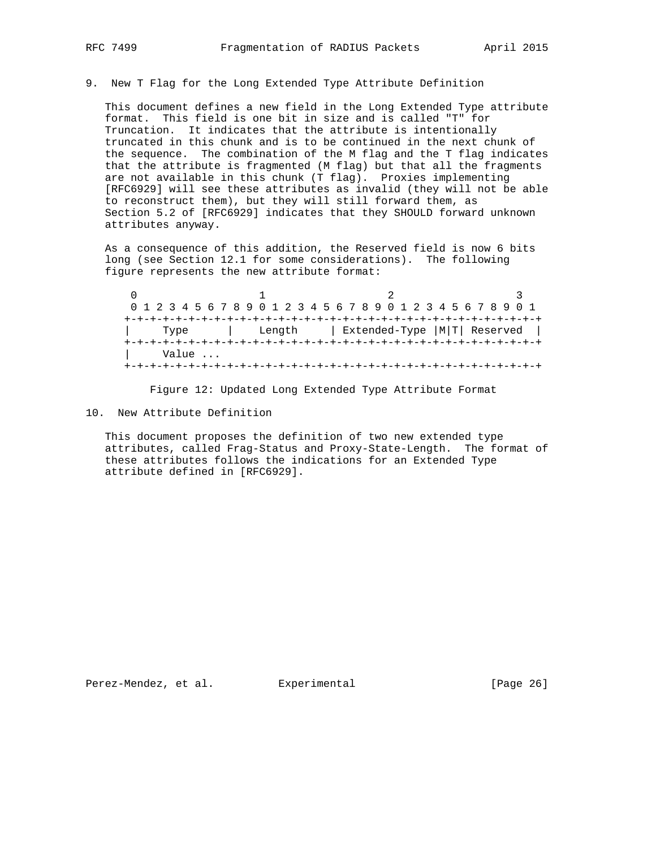9. New T Flag for the Long Extended Type Attribute Definition

 This document defines a new field in the Long Extended Type attribute format. This field is one bit in size and is called "T" for Truncation. It indicates that the attribute is intentionally truncated in this chunk and is to be continued in the next chunk of the sequence. The combination of the M flag and the T flag indicates that the attribute is fragmented (M flag) but that all the fragments are not available in this chunk (T flag). Proxies implementing [RFC6929] will see these attributes as invalid (they will not be able to reconstruct them), but they will still forward them, as Section 5.2 of [RFC6929] indicates that they SHOULD forward unknown attributes anyway.

 As a consequence of this addition, the Reserved field is now 6 bits long (see Section 12.1 for some considerations). The following figure represents the new attribute format:

 $0$  1 2 3 0 1 2 3 4 5 6 7 8 9 0 1 2 3 4 5 6 7 8 9 0 1 2 3 4 5 6 7 8 9 0 1 +-+-+-+-+-+-+-+-+-+-+-+-+-+-+-+-+-+-+-+-+-+-+-+-+-+-+-+-+-+-+-+-+ | Type | Length | Extended-Type |M|T| Reserved | +-+-+-+-+-+-+-+-+-+-+-+-+-+-+-+-+-+-+-+-+-+-+-+-+-+-+-+-+-+-+-+-+ | Value ... +-+-+-+-+-+-+-+-+-+-+-+-+-+-+-+-+-+-+-+-+-+-+-+-+-+-+-+-+-+-+-+-+

Figure 12: Updated Long Extended Type Attribute Format

10. New Attribute Definition

 This document proposes the definition of two new extended type attributes, called Frag-Status and Proxy-State-Length. The format of these attributes follows the indications for an Extended Type attribute defined in [RFC6929].

Perez-Mendez, et al. Experimental [Page 26]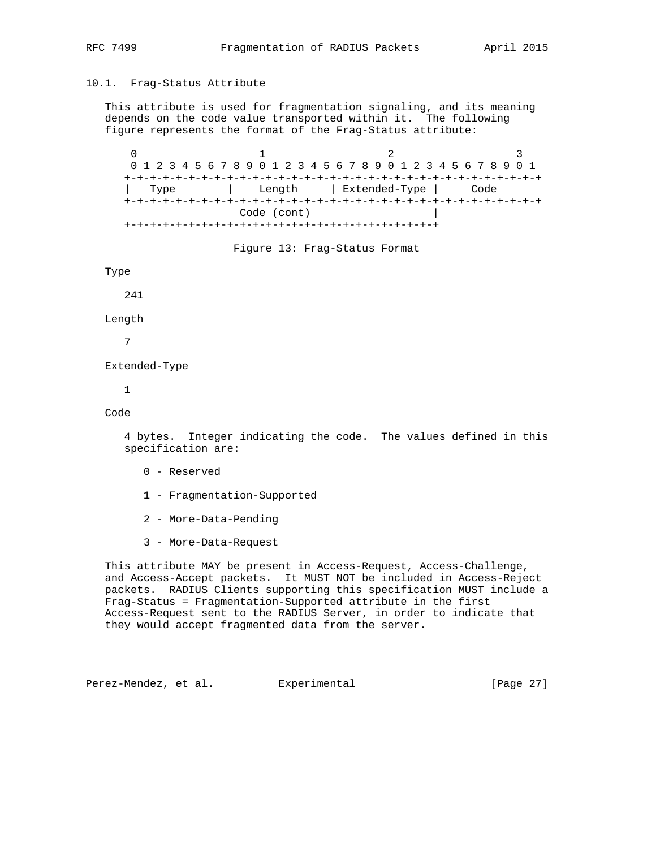This attribute is used for fragmentation signaling, and its meaning depends on the code value transported within it. The following figure represents the format of the Frag-Status attribute:

 $0$  1 2 3 0 1 2 3 4 5 6 7 8 9 0 1 2 3 4 5 6 7 8 9 0 1 2 3 4 5 6 7 8 9 0 1 +-+-+-+-+-+-+-+-+-+-+-+-+-+-+-+-+-+-+-+-+-+-+-+-+-+-+-+-+-+-+-+-+ | Type | Length | Extended-Type | Code +-+-+-+-+-+-+-+-+-+-+-+-+-+-+-+-+-+-+-+-+-+-+-+-+-+-+-+-+-+-+-+-+ Code (cont) | +-+-+-+-+-+-+-+-+-+-+-+-+-+-+-+-+-+-+-+-+-+-+-+-+

Figure 13: Frag-Status Format

Type

241

Length

7

Extended-Type

1

Code

 4 bytes. Integer indicating the code. The values defined in this specification are:

- 0 Reserved
- 1 Fragmentation-Supported
- 2 More-Data-Pending
- 3 More-Data-Request

 This attribute MAY be present in Access-Request, Access-Challenge, and Access-Accept packets. It MUST NOT be included in Access-Reject packets. RADIUS Clients supporting this specification MUST include a Frag-Status = Fragmentation-Supported attribute in the first Access-Request sent to the RADIUS Server, in order to indicate that they would accept fragmented data from the server.

Perez-Mendez, et al. Experimental [Page 27]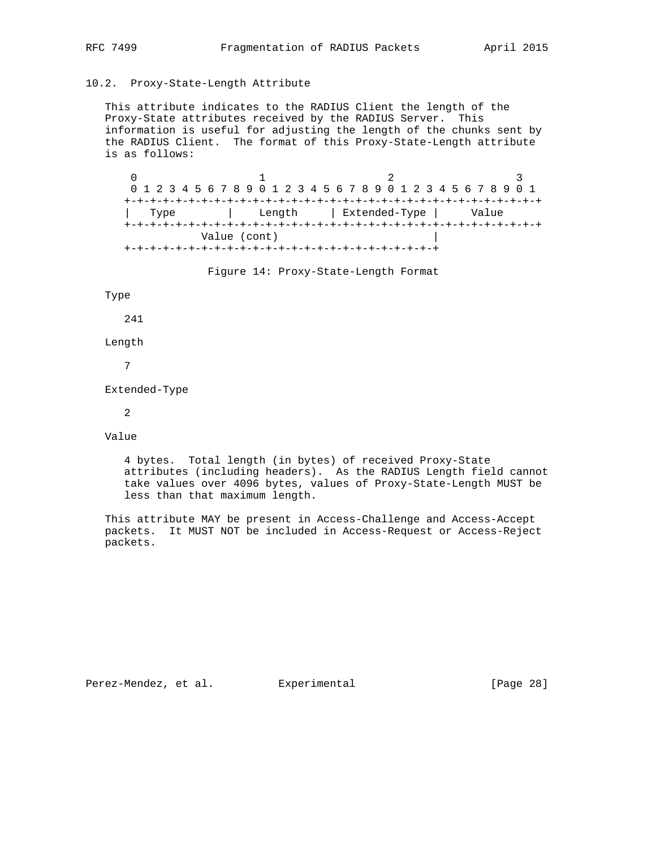## 10.2. Proxy-State-Length Attribute

 This attribute indicates to the RADIUS Client the length of the Proxy-State attributes received by the RADIUS Server. This information is useful for adjusting the length of the chunks sent by the RADIUS Client. The format of this Proxy-State-Length attribute is as follows:

0  $1$  2 3 0 1 2 3 4 5 6 7 8 9 0 1 2 3 4 5 6 7 8 9 0 1 2 3 4 5 6 7 8 9 0 1 +-+-+-+-+-+-+-+-+-+-+-+-+-+-+-+-+-+-+-+-+-+-+-+-+-+-+-+-+-+-+-+-+ | Type | Length | Extended-Type | Value +-+-+-+-+-+-+-+-+-+-+-+-+-+-+-+-+-+-+-+-+-+-+-+-+-+-+-+-+-+-+-+-+ Value (cont) | +-+-+-+-+-+-+-+-+-+-+-+-+-+-+-+-+-+-+-+-+-+-+-+-+

Figure 14: Proxy-State-Length Format

#### Type

241

Length

7

Extended-Type

2

Value

 4 bytes. Total length (in bytes) of received Proxy-State attributes (including headers). As the RADIUS Length field cannot take values over 4096 bytes, values of Proxy-State-Length MUST be less than that maximum length.

 This attribute MAY be present in Access-Challenge and Access-Accept packets. It MUST NOT be included in Access-Request or Access-Reject packets.

Perez-Mendez, et al. Experimental [Page 28]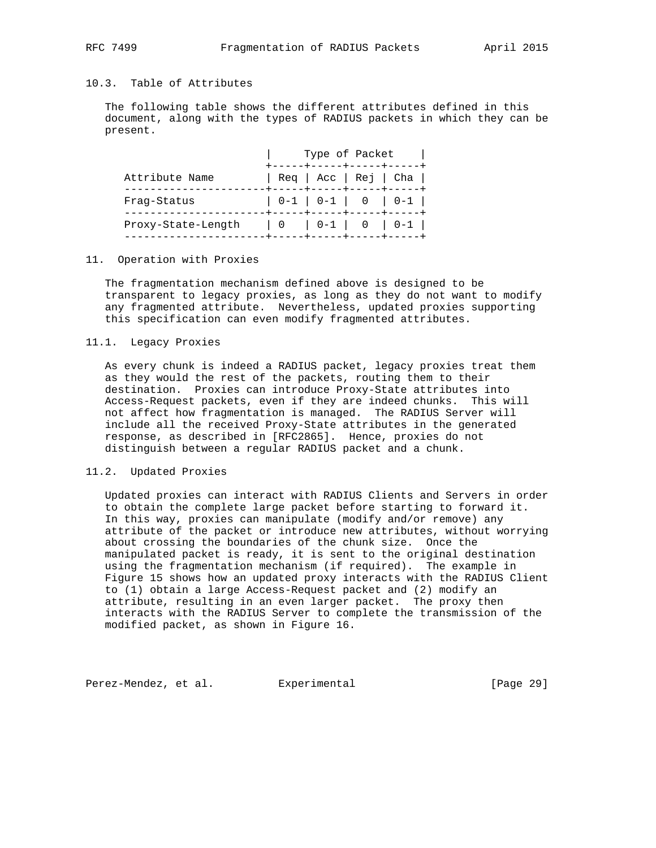# 10.3. Table of Attributes

 The following table shows the different attributes defined in this document, along with the types of RADIUS packets in which they can be present.

|                    | Type of Packet<br>-----+-----+----+----- |  |  |                                |
|--------------------|------------------------------------------|--|--|--------------------------------|
| Attribute Name     |                                          |  |  | $\text{Re}q$   Acc   Rej   Cha |
| Fraq-Status        |                                          |  |  |                                |
| Proxy-State-Length |                                          |  |  |                                |

## 11. Operation with Proxies

 The fragmentation mechanism defined above is designed to be transparent to legacy proxies, as long as they do not want to modify any fragmented attribute. Nevertheless, updated proxies supporting this specification can even modify fragmented attributes.

## 11.1. Legacy Proxies

 As every chunk is indeed a RADIUS packet, legacy proxies treat them as they would the rest of the packets, routing them to their destination. Proxies can introduce Proxy-State attributes into Access-Request packets, even if they are indeed chunks. This will not affect how fragmentation is managed. The RADIUS Server will include all the received Proxy-State attributes in the generated response, as described in [RFC2865]. Hence, proxies do not distinguish between a regular RADIUS packet and a chunk.

## 11.2. Updated Proxies

 Updated proxies can interact with RADIUS Clients and Servers in order to obtain the complete large packet before starting to forward it. In this way, proxies can manipulate (modify and/or remove) any attribute of the packet or introduce new attributes, without worrying about crossing the boundaries of the chunk size. Once the manipulated packet is ready, it is sent to the original destination using the fragmentation mechanism (if required). The example in Figure 15 shows how an updated proxy interacts with the RADIUS Client to (1) obtain a large Access-Request packet and (2) modify an attribute, resulting in an even larger packet. The proxy then interacts with the RADIUS Server to complete the transmission of the modified packet, as shown in Figure 16.

Perez-Mendez, et al. Experimental [Page 29]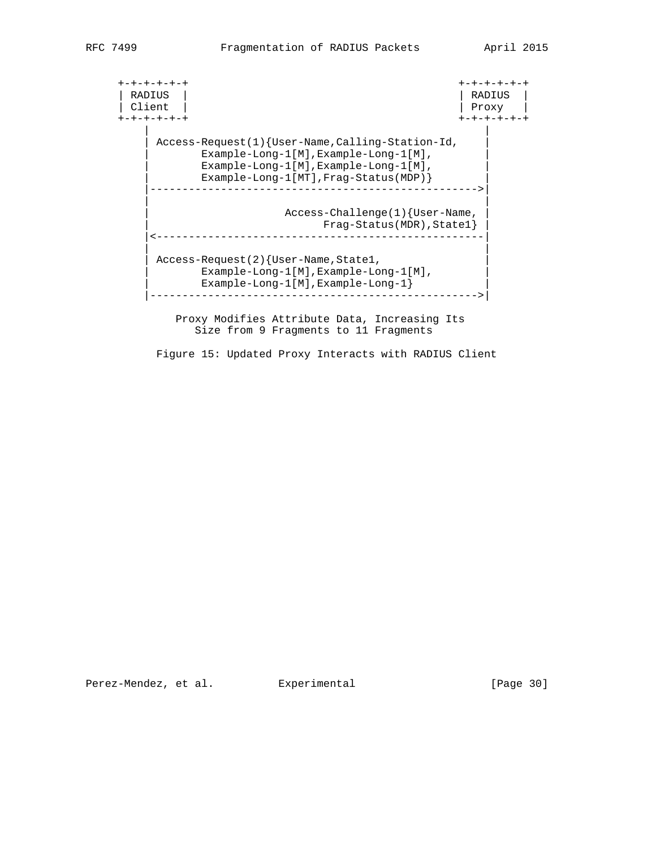+-+-+-+-+-+ +-+-+-+-+-+ | RADIUS | | RADIUS | | Client | | Proxy | +-+-+-+-+-+ +-+-+-+-+-+ | | | Access-Request(1){User-Name,Calling-Station-Id, | | Example-Long-1[M],Example-Long-1[M], | | Example-Long-1[M],Example-Long-1[M], | | Example-Long-1[MT],Frag-Status(MDP)} | |--------------------------------------------------->| | | | Access-Challenge(1){User-Name, | | Frag-Status(MDR),State1} | |<---------------------------------------------------| | | | Access-Request(2){User-Name,State1, | Example-Long-1[M],Example-Long-1[M], | | Example-Long-1[M],Example-Long-1} | |--------------------------------------------------->| Proxy Modifies Attribute Data, Increasing Its

Figure 15: Updated Proxy Interacts with RADIUS Client

Size from 9 Fragments to 11 Fragments

Perez-Mendez, et al. Experimental [Page 30]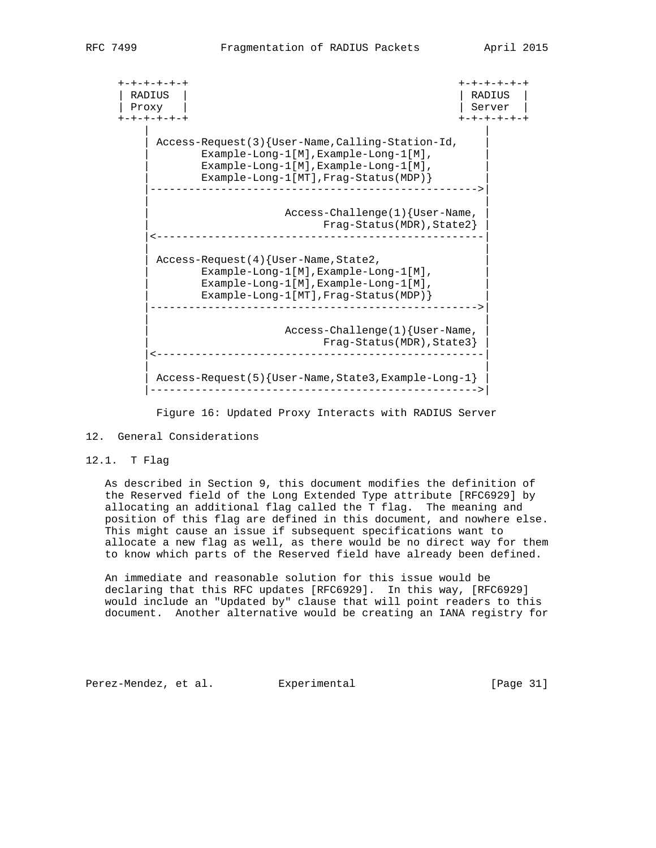+-+-+-+-+-+ +-+-+-+-+-+ | RADIUS | | RADIUS | | Proxy | Server | Server | Server | Server | Server | Server | Server | Server | Server | Server | Server | Server | Server | Server | Server | Server | Server | Server | Server | Server | Server | Server | Server | Serve +-+-+-+-+-+ +-+-+-+-+-+ | | | Access-Request(3){User-Name,Calling-Station-Id, | | Example-Long-1[M],Example-Long-1[M], | | Example-Long-1[M],Example-Long-1[M], | | Example-Long-1[MT],Frag-Status(MDP)} | |--------------------------------------------------->| | | | Access-Challenge(1){User-Name, | | Frag-Status(MDR),State2} | |<---------------------------------------------------| | | Access-Request(4){User-Name,State2, | Example-Long-1[M],Example-Long-1[M], | | Example-Long-1[M],Example-Long-1[M], | | Example-Long-1[MT],Frag-Status(MDP)} | |--------------------------------------------------->| | | | Access-Challenge(1){User-Name, | | Frag-Status(MDR),State3} | |<---------------------------------------------------| | | | Access-Request(5){User-Name,State3,Example-Long-1} | |--------------------------------------------------->|

Figure 16: Updated Proxy Interacts with RADIUS Server

## 12. General Considerations

## 12.1. T Flag

 As described in Section 9, this document modifies the definition of the Reserved field of the Long Extended Type attribute [RFC6929] by allocating an additional flag called the T flag. The meaning and position of this flag are defined in this document, and nowhere else. This might cause an issue if subsequent specifications want to allocate a new flag as well, as there would be no direct way for them to know which parts of the Reserved field have already been defined.

 An immediate and reasonable solution for this issue would be declaring that this RFC updates [RFC6929]. In this way, [RFC6929] would include an "Updated by" clause that will point readers to this document. Another alternative would be creating an IANA registry for

Perez-Mendez, et al. Experimental [Page 31]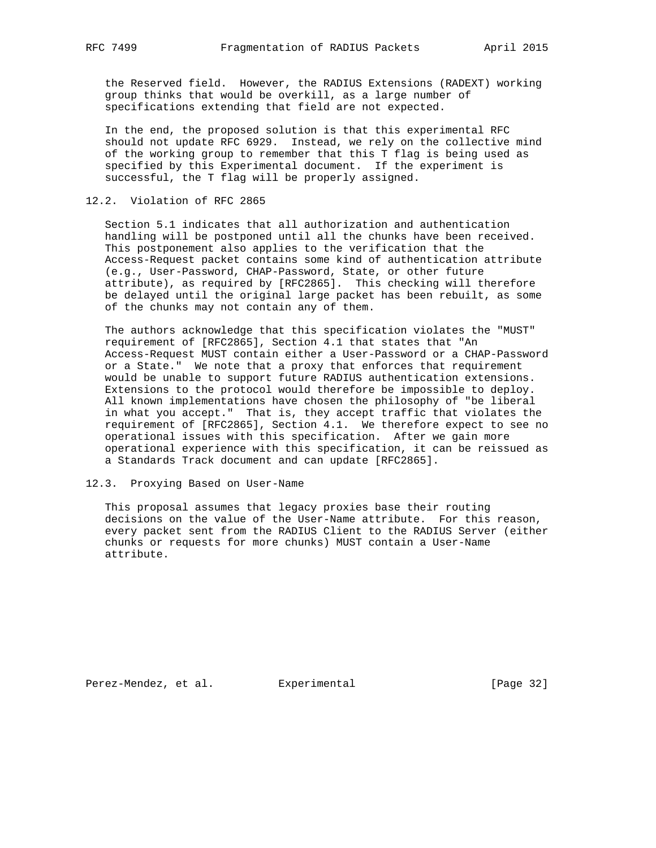the Reserved field. However, the RADIUS Extensions (RADEXT) working group thinks that would be overkill, as a large number of specifications extending that field are not expected.

 In the end, the proposed solution is that this experimental RFC should not update RFC 6929. Instead, we rely on the collective mind of the working group to remember that this T flag is being used as specified by this Experimental document. If the experiment is successful, the T flag will be properly assigned.

## 12.2. Violation of RFC 2865

 Section 5.1 indicates that all authorization and authentication handling will be postponed until all the chunks have been received. This postponement also applies to the verification that the Access-Request packet contains some kind of authentication attribute (e.g., User-Password, CHAP-Password, State, or other future attribute), as required by [RFC2865]. This checking will therefore be delayed until the original large packet has been rebuilt, as some of the chunks may not contain any of them.

 The authors acknowledge that this specification violates the "MUST" requirement of [RFC2865], Section 4.1 that states that "An Access-Request MUST contain either a User-Password or a CHAP-Password or a State." We note that a proxy that enforces that requirement would be unable to support future RADIUS authentication extensions. Extensions to the protocol would therefore be impossible to deploy. All known implementations have chosen the philosophy of "be liberal in what you accept." That is, they accept traffic that violates the requirement of [RFC2865], Section 4.1. We therefore expect to see no operational issues with this specification. After we gain more operational experience with this specification, it can be reissued as a Standards Track document and can update [RFC2865].

#### 12.3. Proxying Based on User-Name

 This proposal assumes that legacy proxies base their routing decisions on the value of the User-Name attribute. For this reason, every packet sent from the RADIUS Client to the RADIUS Server (either chunks or requests for more chunks) MUST contain a User-Name attribute.

Perez-Mendez, et al. Experimental [Page 32]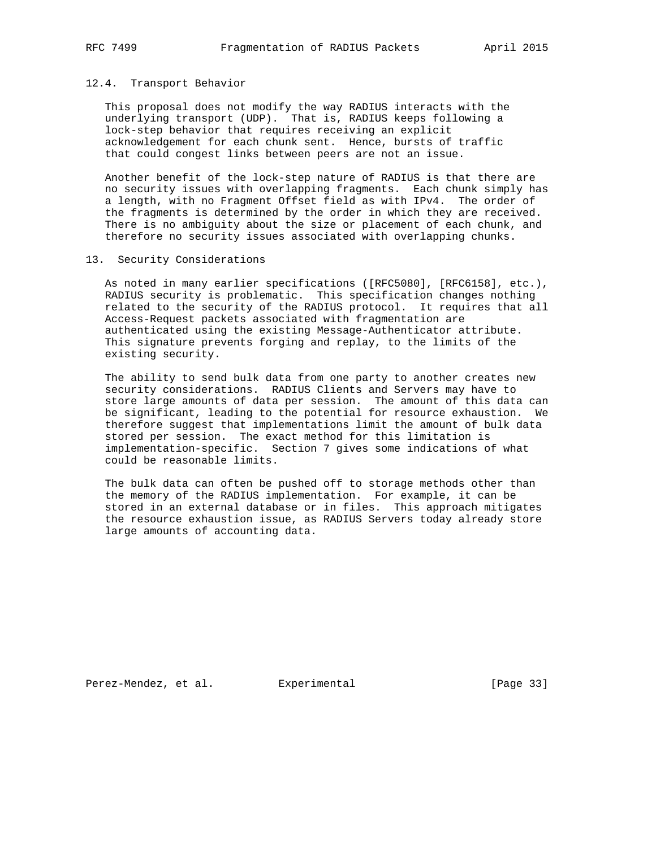#### 12.4. Transport Behavior

 This proposal does not modify the way RADIUS interacts with the underlying transport (UDP). That is, RADIUS keeps following a lock-step behavior that requires receiving an explicit acknowledgement for each chunk sent. Hence, bursts of traffic that could congest links between peers are not an issue.

 Another benefit of the lock-step nature of RADIUS is that there are no security issues with overlapping fragments. Each chunk simply has a length, with no Fragment Offset field as with IPv4. The order of the fragments is determined by the order in which they are received. There is no ambiguity about the size or placement of each chunk, and therefore no security issues associated with overlapping chunks.

## 13. Security Considerations

 As noted in many earlier specifications ([RFC5080], [RFC6158], etc.), RADIUS security is problematic. This specification changes nothing related to the security of the RADIUS protocol. It requires that all Access-Request packets associated with fragmentation are authenticated using the existing Message-Authenticator attribute. This signature prevents forging and replay, to the limits of the existing security.

 The ability to send bulk data from one party to another creates new security considerations. RADIUS Clients and Servers may have to store large amounts of data per session. The amount of this data can be significant, leading to the potential for resource exhaustion. We therefore suggest that implementations limit the amount of bulk data stored per session. The exact method for this limitation is implementation-specific. Section 7 gives some indications of what could be reasonable limits.

 The bulk data can often be pushed off to storage methods other than the memory of the RADIUS implementation. For example, it can be stored in an external database or in files. This approach mitigates the resource exhaustion issue, as RADIUS Servers today already store large amounts of accounting data.

Perez-Mendez, et al. Experimental [Page 33]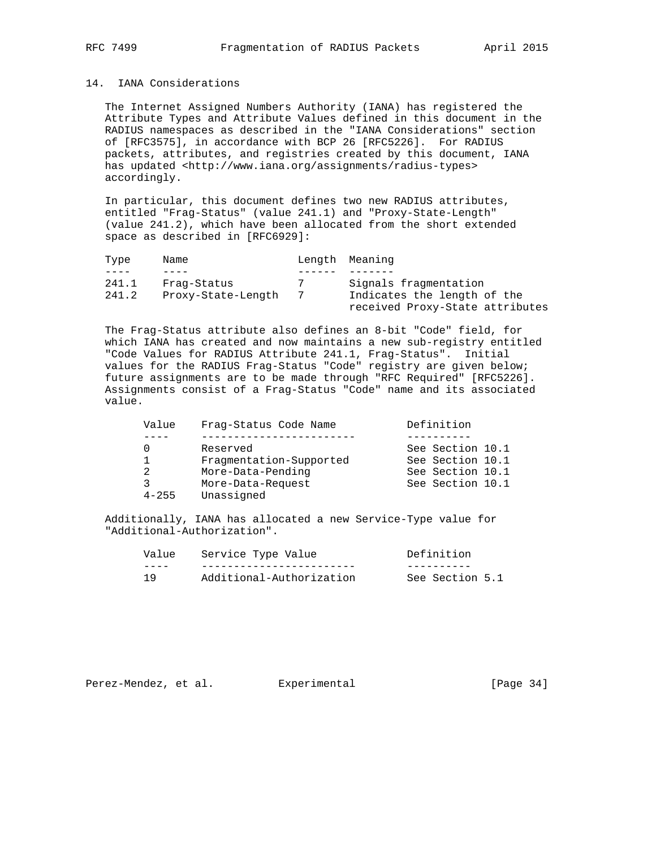## 14. IANA Considerations

 The Internet Assigned Numbers Authority (IANA) has registered the Attribute Types and Attribute Values defined in this document in the RADIUS namespaces as described in the "IANA Considerations" section of [RFC3575], in accordance with BCP 26 [RFC5226]. For RADIUS packets, attributes, and registries created by this document, IANA has updated <http://www.iana.org/assignments/radius-types> accordingly.

 In particular, this document defines two new RADIUS attributes, entitled "Frag-Status" (value 241.1) and "Proxy-State-Length" (value 241.2), which have been allocated from the short extended space as described in [RFC6929]:

| Type  | Name               | Length Meaning                  |
|-------|--------------------|---------------------------------|
|       |                    |                                 |
| 241.1 | Fraq-Status        | Signals fragmentation           |
| 241.2 | Proxy-State-Length | Indicates the length of the     |
|       |                    | received Proxy-State attributes |

 The Frag-Status attribute also defines an 8-bit "Code" field, for which IANA has created and now maintains a new sub-registry entitled "Code Values for RADIUS Attribute 241.1, Frag-Status". Initial values for the RADIUS Frag-Status "Code" registry are given below; future assignments are to be made through "RFC Required" [RFC5226]. Assignments consist of a Frag-Status "Code" name and its associated value.

| Value     | Frag-Status Code Name   | Definition       |  |
|-----------|-------------------------|------------------|--|
|           |                         |                  |  |
| 0         | Reserved                | See Section 10.1 |  |
| 1         | Fragmentation-Supported | See Section 10.1 |  |
| 2         | More-Data-Pending       | See Section 10.1 |  |
| 3         | More-Data-Request       | See Section 10.1 |  |
| $4 - 255$ | Unassigned              |                  |  |

 Additionally, IANA has allocated a new Service-Type value for "Additional-Authorization".

| Value | Service Type Value       | Definition      |
|-------|--------------------------|-----------------|
|       |                          |                 |
| 1 Q   | Additional-Authorization | See Section 5.1 |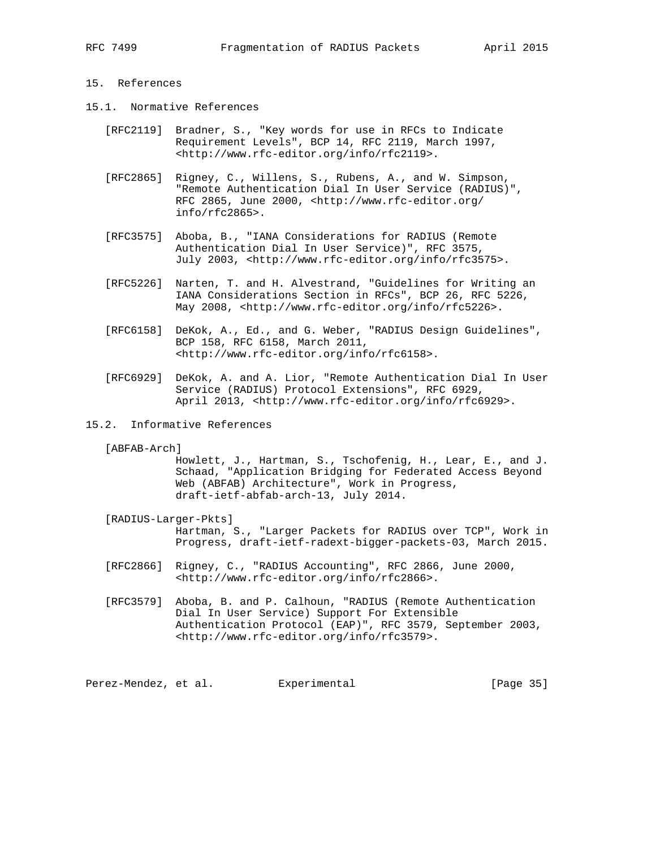## 15. References

- 15.1. Normative References
	- [RFC2119] Bradner, S., "Key words for use in RFCs to Indicate Requirement Levels", BCP 14, RFC 2119, March 1997, <http://www.rfc-editor.org/info/rfc2119>.
	- [RFC2865] Rigney, C., Willens, S., Rubens, A., and W. Simpson, "Remote Authentication Dial In User Service (RADIUS)", RFC 2865, June 2000, <http://www.rfc-editor.org/ info/rfc2865>.
	- [RFC3575] Aboba, B., "IANA Considerations for RADIUS (Remote Authentication Dial In User Service)", RFC 3575, July 2003, <http://www.rfc-editor.org/info/rfc3575>.
	- [RFC5226] Narten, T. and H. Alvestrand, "Guidelines for Writing an IANA Considerations Section in RFCs", BCP 26, RFC 5226, May 2008, <http://www.rfc-editor.org/info/rfc5226>.
	- [RFC6158] DeKok, A., Ed., and G. Weber, "RADIUS Design Guidelines", BCP 158, RFC 6158, March 2011, <http://www.rfc-editor.org/info/rfc6158>.
	- [RFC6929] DeKok, A. and A. Lior, "Remote Authentication Dial In User Service (RADIUS) Protocol Extensions", RFC 6929, April 2013, <http://www.rfc-editor.org/info/rfc6929>.
- 15.2. Informative References
	- [ABFAB-Arch]

 Howlett, J., Hartman, S., Tschofenig, H., Lear, E., and J. Schaad, "Application Bridging for Federated Access Beyond Web (ABFAB) Architecture", Work in Progress, draft-ietf-abfab-arch-13, July 2014.

- [RADIUS-Larger-Pkts] Hartman, S., "Larger Packets for RADIUS over TCP", Work in Progress, draft-ietf-radext-bigger-packets-03, March 2015.
- [RFC2866] Rigney, C., "RADIUS Accounting", RFC 2866, June 2000, <http://www.rfc-editor.org/info/rfc2866>.
- [RFC3579] Aboba, B. and P. Calhoun, "RADIUS (Remote Authentication Dial In User Service) Support For Extensible Authentication Protocol (EAP)", RFC 3579, September 2003, <http://www.rfc-editor.org/info/rfc3579>.

Perez-Mendez, et al. Experimental extending the same series of the series of the series and series and series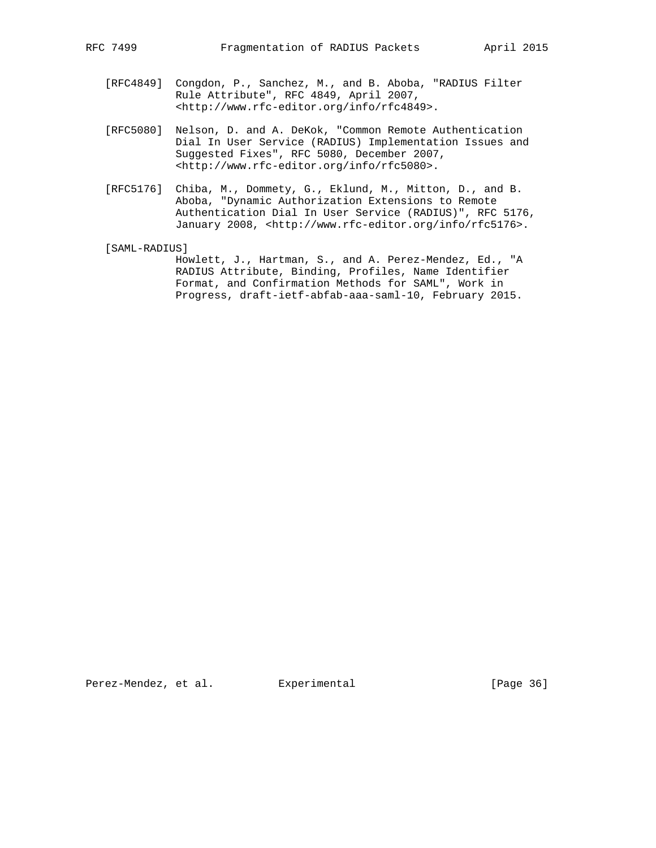- [RFC4849] Congdon, P., Sanchez, M., and B. Aboba, "RADIUS Filter Rule Attribute", RFC 4849, April 2007, <http://www.rfc-editor.org/info/rfc4849>.
- [RFC5080] Nelson, D. and A. DeKok, "Common Remote Authentication Dial In User Service (RADIUS) Implementation Issues and Suggested Fixes", RFC 5080, December 2007, <http://www.rfc-editor.org/info/rfc5080>.
- [RFC5176] Chiba, M., Dommety, G., Eklund, M., Mitton, D., and B. Aboba, "Dynamic Authorization Extensions to Remote Authentication Dial In User Service (RADIUS)", RFC 5176, January 2008, <http://www.rfc-editor.org/info/rfc5176>.

[SAML-RADIUS]

 Howlett, J., Hartman, S., and A. Perez-Mendez, Ed., "A RADIUS Attribute, Binding, Profiles, Name Identifier Format, and Confirmation Methods for SAML", Work in Progress, draft-ietf-abfab-aaa-saml-10, February 2015.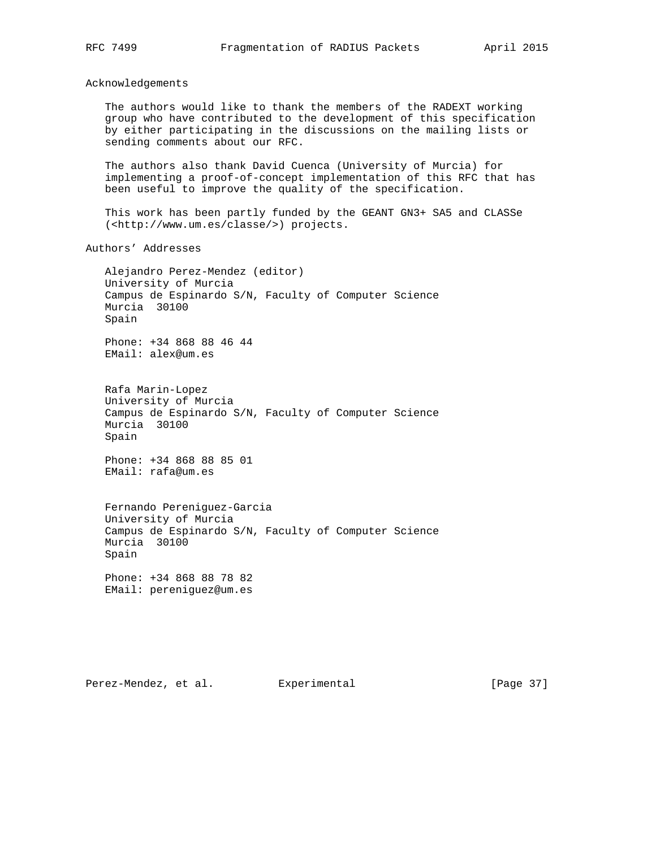Acknowledgements

 The authors would like to thank the members of the RADEXT working group who have contributed to the development of this specification by either participating in the discussions on the mailing lists or sending comments about our RFC.

 The authors also thank David Cuenca (University of Murcia) for implementing a proof-of-concept implementation of this RFC that has been useful to improve the quality of the specification.

 This work has been partly funded by the GEANT GN3+ SA5 and CLASSe (<http://www.um.es/classe/>) projects.

Authors' Addresses

 Alejandro Perez-Mendez (editor) University of Murcia Campus de Espinardo S/N, Faculty of Computer Science Murcia 30100 Spain

 Phone: +34 868 88 46 44 EMail: alex@um.es

 Rafa Marin-Lopez University of Murcia Campus de Espinardo S/N, Faculty of Computer Science Murcia 30100 Spain

 Phone: +34 868 88 85 01 EMail: rafa@um.es

 Fernando Pereniguez-Garcia University of Murcia Campus de Espinardo S/N, Faculty of Computer Science Murcia 30100 Spain

 Phone: +34 868 88 78 82 EMail: pereniguez@um.es